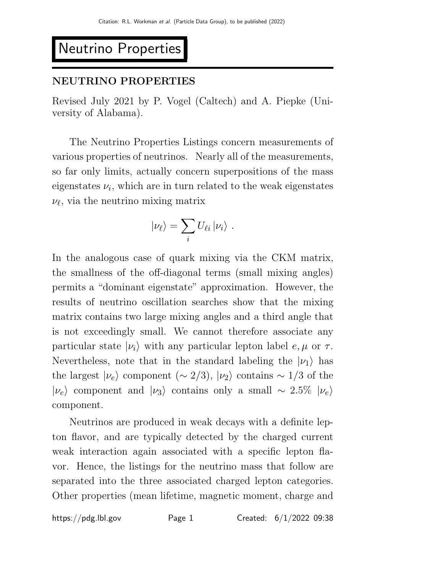# Neutrino Properties

# NEUTRINO PROPERTIES

Revised July 2021 by P. Vogel (Caltech) and A. Piepke (University of Alabama).

The Neutrino Properties Listings concern measurements of various properties of neutrinos. Nearly all of the measurements, so far only limits, actually concern superpositions of the mass eigenstates  $\nu_i$ , which are in turn related to the weak eigenstates  $\nu_{\ell}$ , via the neutrino mixing matrix

$$
|\nu_{\ell}\rangle = \sum_i U_{\ell i} |\nu_i\rangle.
$$

In the analogous case of quark mixing via the CKM matrix, the smallness of the off-diagonal terms (small mixing angles) permits a "dominant eigenstate" approximation. However, the results of neutrino oscillation searches show that the mixing matrix contains two large mixing angles and a third angle that is not exceedingly small. We cannot therefore associate any particular state  $|\nu_i\rangle$  with any particular lepton label  $e, \mu$  or  $\tau$ . Nevertheless, note that in the standard labeling the  $|\nu_1\rangle$  has the largest  $|\nu_e\rangle$  component ( $\sim$  2/3),  $|\nu_2\rangle$  contains  $\sim$  1/3 of the  $|\nu_e\rangle$  component and  $|\nu_3\rangle$  contains only a small ~ 2.5%  $|\nu_e\rangle$ component.

Neutrinos are produced in weak decays with a definite lepton flavor, and are typically detected by the charged current weak interaction again associated with a specific lepton flavor. Hence, the listings for the neutrino mass that follow are separated into the three associated charged lepton categories. Other properties (mean lifetime, magnetic moment, charge and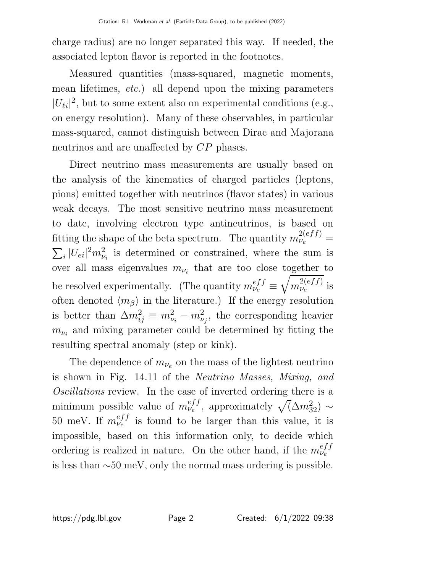charge radius) are no longer separated this way. If needed, the associated lepton flavor is reported in the footnotes.

Measured quantities (mass-squared, magnetic moments, mean lifetimes, etc.) all depend upon the mixing parameters  $|U_{\ell i}|^2$ , but to some extent also on experimental conditions (e.g., on energy resolution). Many of these observables, in particular mass-squared, cannot distinguish between Dirac and Majorana neutrinos and are unaffected by CP phases.

Direct neutrino mass measurements are usually based on the analysis of the kinematics of charged particles (leptons, pions) emitted together with neutrinos (flavor states) in various weak decays. The most sensitive neutrino mass measurement to date, involving electron type antineutrinos, is based on fitting the shape of the beta spectrum. The quantity  $m_{\nu_e}^{2(eff)}$  =  $\sum_{i} |U_{ei}|^2 m_{\nu_i}^2$  is determined or constrained, where the sum is over all mass eigenvalues  $m_{\nu_i}$  that are too close together to be resolved experimentally. (The quantity  $m_{\nu_e}^{eff} \equiv$  $\frac{1}{2}$  $m_{\nu_e}^{2(eff)}$  $\frac{2(eJJ)}{\nu_e}$  is often denoted  $\langle m_\beta \rangle$  in the literature.) If the energy resolution is better than  $\Delta m_{ij}^2 \equiv m_{\nu_i}^2 - m_{\nu_j}^2$ , the corresponding heavier  $m_{\nu_i}$  and mixing parameter could be determined by fitting the resulting spectral anomaly (step or kink).

The dependence of  $m_{\nu_e}$  on the mass of the lightest neutrino is shown in Fig. 14.11 of the Neutrino Masses, Mixing, and Oscillations review. In the case of inverted ordering there is a minimum possible value of  $m_{\nu_e}^{eff}$  $v_e^{eff}$ , approximately  $\sqrt{(\Delta m_{32}^2)} \sim$ 50 meV. If  $m_{\nu_e}^{eff}$  $v_e^{e_{JJ}}$  is found to be larger than this value, it is impossible, based on this information only, to decide which ordering is realized in nature. On the other hand, if the  $m_{\nu_e}^{eff}$  $v_e^{\prime}$ is less than ∼50 meV, only the normal mass ordering is possible.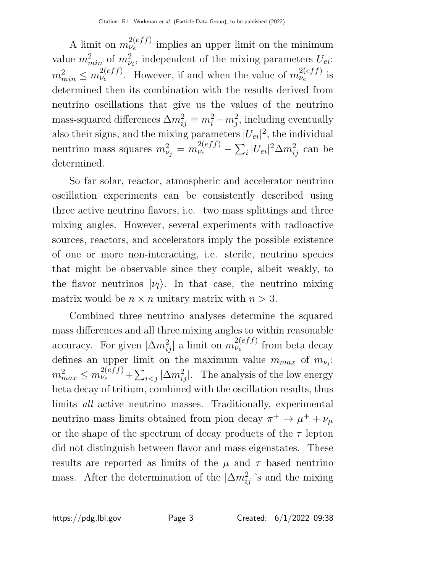A limit on  $m_{\nu_e}^{2(eff)}$  $\mathcal{L}_{\nu_e}^{(e_{JJ})}$  implies an upper limit on the minimum value  $m_{min}^2$  of  $m_{\nu_i}^2$ , independent of the mixing parameters  $U_{ei}$ :  $m_{min}^2 \leq m_{\nu_e}^{2(eff)}$  $v_e^{2(eff)}$ . However, if and when the value of  $m_{\nu_e}^{2(eff)}$  $\frac{2(eJJ)}{e}$  is determined then its combination with the results derived from neutrino oscillations that give us the values of the neutrino mass-squared differences  $\Delta m_{ij}^2 \equiv m_i^2 - m_j^2$ , including eventually also their signs, and the mixing parameters  $|U_{ei}|^2$ , the individual neutrino mass squares  $m_{\nu_j}^2 = m_{\nu_e}^{2(eff)} - \sum_i |U_{ei}|^2 \Delta m_{ij}^2$  can be determined.

So far solar, reactor, atmospheric and accelerator neutrino oscillation experiments can be consistently described using three active neutrino flavors, i.e. two mass splittings and three mixing angles. However, several experiments with radioactive sources, reactors, and accelerators imply the possible existence of one or more non-interacting, i.e. sterile, neutrino species that might be observable since they couple, albeit weakly, to the flavor neutrinos  $|\nu_l\rangle$ . In that case, the neutrino mixing matrix would be  $n \times n$  unitary matrix with  $n > 3$ .

Combined three neutrino analyses determine the squared mass differences and all three mixing angles to within reasonable accuracy. For given  $|\Delta m_{ij}^2|$  a limit on  $m_{\nu_e}^{2(eff)}$  $\mathcal{L}_{\nu_e}^{(e_{JJ})}$  from beta decay defines an upper limit on the maximum value  $m_{max}$  of  $m_{\nu_i}$ :  $m_{max}^2 \leq m_{\nu_e}^{2(eff)} + \sum_{i < j} |\Delta m_{ij}^2|$ . The analysis of the low energy beta decay of tritium, combined with the oscillation results, thus limits all active neutrino masses. Traditionally, experimental neutrino mass limits obtained from pion decay  $\pi^+ \to \mu^+ + \nu_\mu$ or the shape of the spectrum of decay products of the  $\tau$  lepton did not distinguish between flavor and mass eigenstates. These results are reported as limits of the  $\mu$  and  $\tau$  based neutrino mass. After the determination of the  $|\Delta m_{ij}^2|$ 's and the mixing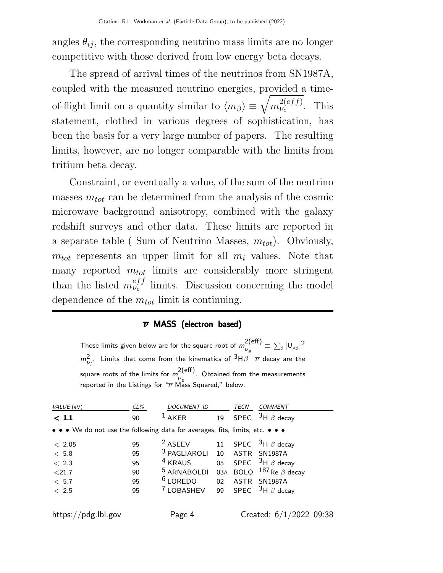angles  $\theta_{ij}$ , the corresponding neutrino mass limits are no longer competitive with those derived from low energy beta decays.

The spread of arrival times of the neutrinos from SN1987A, coupled with the measured neutrino energies, provided a timeof-flight limit on a quantity similar to  $\langle m_{\beta} \rangle \equiv \sqrt{m_{\nu_e}^{2(eff)}}$  $\frac{\nu_e}{\nu_e}$ . This statement, clothed in various degrees of sophistication, has been the basis for a very large number of papers. The resulting limits, however, are no longer comparable with the limits from tritium beta decay.

Constraint, or eventually a value, of the sum of the neutrino masses  $m_{tot}$  can be determined from the analysis of the cosmic microwave background anisotropy, combined with the galaxy redshift surveys and other data. These limits are reported in a separate table ( Sum of Neutrino Masses,  $m_{tot}$ ). Obviously,  $m_{tot}$  represents an upper limit for all  $m_i$  values. Note that many reported  $m_{tot}$  limits are considerably more stringent than the listed  $m_{\nu_e}^{eff}$  $v_e^{e}$  limits. Discussion concerning the model dependence of the  $m_{tot}$  limit is continuing.

#### $\overline{\nu}$  MASS (electron based)

Those limits given below are for the square root of  $m_{11}^{2(eff)}$  $v_e^{2(\text{eff})} \equiv \sum_i |U_{ei}|^2$  $m_{\nu_i^+}^2$ . Limits that come from the kinematics of  $^3$ H $\beta^-\overline{\nu}$  decay are the square roots of the limits for  $m_{11}^{2(\text{eff})}$  $v_e^{(0,0)}$ . Obtained from the measurements reported in the Listings for " $\overline{\nu}$  Mass Squared," below.

| VALUE (eV)                                                                                                            | $CL\%$ | <i>DOCUMENT ID</i>      |     | TECN        | <i>COMMENT</i>                 |
|-----------------------------------------------------------------------------------------------------------------------|--------|-------------------------|-----|-------------|--------------------------------|
| $<$ 1.1                                                                                                               | 90     | <b>AKER</b>             | 19  | <b>SPEC</b> | $3H \beta$ decay               |
| $\bullet \bullet \bullet$ We do not use the following data for averages, fits, limits, etc. $\bullet \bullet \bullet$ |        |                         |     |             |                                |
| < 2.05                                                                                                                | 95     | <sup>2</sup> ASEEV      | 11  |             | SPEC $3H \beta$ decay          |
| < 5.8                                                                                                                 | 95     | <sup>3</sup> PAGLIAROLI | 10  |             | ASTR SN1987A                   |
| < 2.3                                                                                                                 | 95     | $4$ KRAUS               | 05  |             | SPEC $3H \beta$ decay          |
| < 21.7                                                                                                                | 90     | <sup>5</sup> ARNABOLDI  | 03A |             | BOLO $^{187}$ Re $\beta$ decay |
| < 5.7                                                                                                                 | 95     | $6$ LOREDO              | 02  |             | ASTR SN1987A                   |
| < 2.5                                                                                                                 | 95     | <sup>7</sup> LOBASHEV   | 99  |             | SPEC $3H \beta$ decay          |
|                                                                                                                       |        |                         |     |             |                                |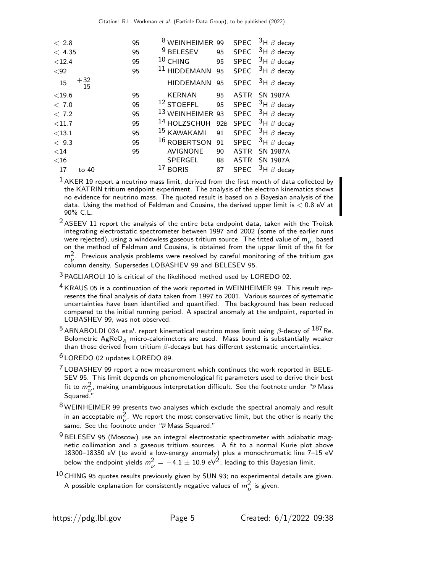| < 2.8     |                | 95 | <sup>8</sup> WEINHEIMER 99  |                 |             | SPEC $3H \beta$ decay |
|-----------|----------------|----|-----------------------------|-----------------|-------------|-----------------------|
| < 4.35    |                | 95 | $9$ BELESEV                 | 95              |             | SPEC $3H \beta$ decay |
| $<$ 12.4  |                | 95 | $10$ CHING                  | 95              | <b>SPEC</b> | $^3$ H $\beta$ decay  |
| $92$      |                | 95 | <sup>11</sup> HIDDEMANN     | 95              |             | SPEC $3H \beta$ decay |
| 15        | $+32$<br>$-15$ |    | HIDDEMANN                   | 95              |             | SPEC $3H \beta$ decay |
| $<$ 19.6  |                | 95 | <b>KERNAN</b>               | 95              |             | ASTR SN 1987A         |
| < 7.0     |                | 95 | $12$ STOEFFL                | 95              |             | SPEC $3H \beta$ decay |
| < 7.2     |                | 95 | <sup>13</sup> WEINHEIMER 93 |                 |             | SPEC $3H \beta$ decay |
| $<$ 11.7  |                | 95 | <sup>14</sup> HOLZSCHUH     | 92 <sub>B</sub> | <b>SPEC</b> | $^3$ H $\beta$ decay  |
| $<13.1\,$ |                | 95 | 15 KAWAKAMI                 | 91              | <b>SPEC</b> | $^3$ H $\beta$ decay  |
| < 9.3     |                | 95 | <sup>16</sup> ROBERTSON     | 91              | <b>SPEC</b> | $^3$ H $\beta$ decay  |
| $<$ 14    |                | 95 | <b>AVIGNONE</b>             | 90              | <b>ASTR</b> | <b>SN 1987A</b>       |
| $<$ 16    |                |    | SPERGEL                     | 88              |             | ASTR SN 1987A         |
| 17        | to 40          |    | $17$ BORIS                  | 87              |             | SPEC $3H \beta$ decay |

 $<sup>1</sup>$  AKER 19 report a neutrino mass limit, derived from the first month of data collected by</sup> the KATRIN tritium endpoint experiment. The analysis of the electron kinematics shows no evidence for neutrino mass. The quoted result is based on a Bayesian analysis of the data. Using the method of Feldman and Cousins, the derived upper limit is  $< 0.8$  eV at 90% C.L.

 $2$  ASEEV 11 report the analysis of the entire beta endpoint data, taken with the Troitsk integrating electrostatic spectrometer between 1997 and 2002 (some of the earlier runs were rejected), using a windowless gaseous tritium source. The fitted value of  $m_{\nu}$ , based on the method of Feldman and Cousins, is obtained from the upper limit of the fit for  $m_V^2$ . Previous analysis problems were resolved by careful monitoring of the tritium gas column density. Supersedes LOBASHEV 99 and BELESEV 95.

- 3 PAGLIAROLI 10 is critical of the likelihood method used by LOREDO 02.
- 4 KRAUS 05 is a continuation of the work reported in WEINHEIMER 99. This result represents the final analysis of data taken from 1997 to 2001. Various sources of systematic uncertainties have been identified and quantified. The background has been reduced compared to the initial running period. A spectral anomaly at the endpoint, reported in LOBASHEV 99, was not observed.

<sup>5</sup> ARNABOLDI 03A etal. report kinematical neutrino mass limit using  $\beta$ -decay of  $^{187}$ Re. Bolometric  $AgReO<sub>A</sub>$  micro-calorimeters are used. Mass bound is substantially weaker than those derived from tritium  $\beta$ -decays but has different systematic uncertainties.

6 LOREDO 02 updates LOREDO 89.

 $7$  LOBASHEV 99 report a new measurement which continues the work reported in BELE-SEV 95. This limit depends on phenomenological fit parameters used to derive their best fit to  $m_{\nu}^2$ , making unambiguous interpretation difficult. See the footnote under " $\overline{\nu}$  Mass πι το πι $\nu$ '<br>Squared.''

- $8$ WEINHEIMER 99 presents two analyses which exclude the spectral anomaly and result in an acceptable  $m^2$ . We report the most conservative limit, but the other is nearly the same. See the footnote under " $\overline{\nu}$  Mass Squared."
- $9$  BELESEV 95 (Moscow) use an integral electrostatic spectrometer with adiabatic magnetic collimation and a gaseous tritium sources. A fit to a normal Kurie plot above 18300–18350 eV (to avoid a low-energy anomaly) plus a monochromatic line 7–15 eV below the endpoint yields  $m_{\nu}^2 = -4.1 \pm 10.9 \; \text{eV}^2$ , leading to this Bayesian limit.
- $10$  CHING 95 quotes results previously given by SUN 93; no experimental details are given. A possible explanation for consistently negative values of  $m_{\nu}^{2}$  is given.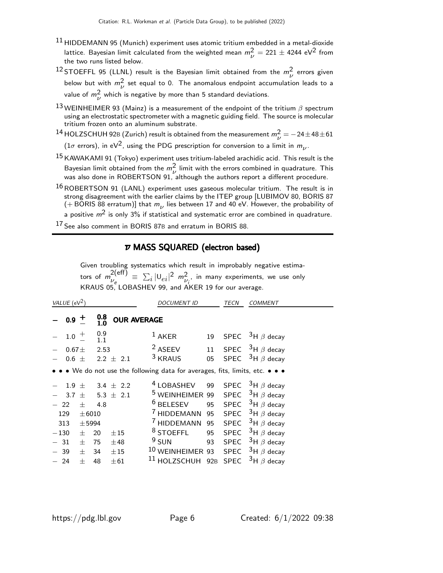- $11$  HIDDEMANN 95 (Munich) experiment uses atomic tritium embedded in a metal-dioxide lattice. Bayesian limit calculated from the weighted mean  $m_{\nu}^2 = 221 \pm 4244 \text{ eV}^2$  from the two runs listed below.
- <sup>12</sup> STOEFFL 95 (LLNL) result is the Bayesian limit obtained from the  $m_\nu^2$  errors given below but with  $m_{\nu}^2$  set equal to 0. The anomalous endpoint accumulation leads to a value of  $m_{\nu}^{2}$  which is negative by more than 5 standard deviations.
- 13 WEINHEIMER 93 (Mainz) is a measurement of the endpoint of the tritium  $\beta$  spectrum using an electrostatic spectrometer with a magnetic guiding field. The source is molecular tritium frozen onto an aluminum substrate.
- <sup>14</sup> HOLZSCHUH 92B (Zurich) result is obtained from the measurement  $m_{\nu}^{2} = -24 \pm 48 \pm 61$ (1 $\sigma$  errors), in eV<sup>2</sup>, using the PDG prescription for conversion to a limit in  $m_{\nu}$ .
- $15$  KAWAKAMI 91 (Tokyo) experiment uses tritium-labeled arachidic acid. This result is the Bayesian limit obtained from the  $m^2$  limit with the errors combined in quadrature. This was also done in ROBERTSON 91, although the authors report a different procedure.
- $16$  ROBERTSON 91 (LANL) experiment uses gaseous molecular tritium. The result is in strong disagreement with the earlier claims by the ITEP group [LUBIMOV 80, BORIS 87 (+BORIS 88 erratum)] that  $m_{\nu}$  lies between 17 and 40 eV. However, the probability of a positive  $m^2$  is only 3% if statistical and systematic error are combined in quadrature.
- 

17 See also comment in BORIS 87B and erratum in BORIS 88.

# $\overline{\nu}$  MASS SQUARED (electron based)

Given troubling systematics which result in improbably negative estimators of  $m_{\nu}^{2(\text{eff})}$  $\frac{Z(\mathsf{eff})}{\nu_e}\,\equiv\,\sum_i|\mathsf{U}_{ei}|^2\,\,m_{\nu_i^{\,\,\prime}}^2$  in many experiments, we use only KRAUS 05, LOBASHEV 99, and AKER 19 for our average.

| VALUE ( $eV^2$ ) |                   |            |            |                    | <i>DOCUMENT ID</i>                                                            |     | TECN        | COMMENT               |
|------------------|-------------------|------------|------------|--------------------|-------------------------------------------------------------------------------|-----|-------------|-----------------------|
|                  | $0.9$ +           |            | 0.8<br>1.0 | <b>OUR AVERAGE</b> |                                                                               |     |             |                       |
|                  | 1.0               | $+$        | 0.9<br>1.1 |                    | $1$ AKER                                                                      | 19  |             | SPEC $3H \beta$ decay |
|                  | 0.67 <sub>±</sub> |            | 2.53       |                    | <sup>2</sup> ASEEV                                                            | 11  |             | SPEC $3H \beta$ decay |
|                  | $0.6 \pm$         |            |            | $2.2 \pm 2.1$      | <sup>3</sup> KRAUS                                                            | 05  | SPEC        | $3H \beta$ decay      |
|                  |                   |            |            |                    | • • • We do not use the following data for averages, fits, limits, etc. • • • |     |             |                       |
|                  | 1.9 <sub>2</sub>  | $^{+}$     |            | 3.4 $\pm$ 2.2      | <sup>4</sup> LOBASHEV                                                         | 99  |             | SPEC $3H \beta$ decay |
|                  | 3.7               | $^{+}$     |            | 5.3 $\pm$ 2.1      | <sup>5</sup> WEINHEIMER 99                                                    |     |             | SPEC $3H \beta$ decay |
|                  | 22                | $+$        | 4.8        |                    | $6$ BELESEV                                                                   | 95  |             | SPEC $3H \beta$ decay |
| 129              |                   | $\pm 6010$ |            |                    | <sup>7</sup> HIDDEMANN                                                        | 95  |             | SPEC $3H \beta$ decay |
| 313              |                   | $±$ 5994   |            |                    | <sup>7</sup> HIDDEMANN                                                        | 95  |             | SPEC $3H \beta$ decay |
| $-130$           |                   | $+$        | 20         | $\pm 15$           | <sup>8</sup> STOEFFL                                                          | 95  | SPEC        | $3H \beta$ decay      |
| 31               |                   | 士          | 75         | ±48                | $9$ SUN                                                                       | 93  | SPEC        | $3H \beta$ decay      |
|                  | 39                | 士          | 34         | ±15                | <sup>10</sup> WEINHEIMER 93                                                   |     | SPEC        | $3H \beta$ decay      |
|                  | 24                | $\pm$      | 48         | $\pm 61$           | <sup>11</sup> HOLZSCHUH                                                       | 92B | <b>SPEC</b> | $3H \beta$ decay      |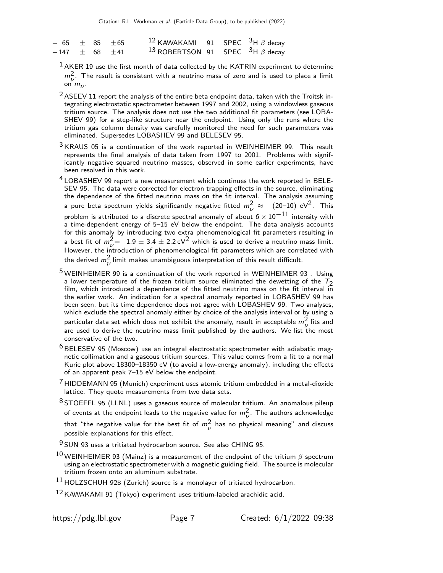| $-65 + 85 + 65$ |  | 12 KAWAKAMI 91 SPEC $3H \beta$ decay                         |  |  |
|-----------------|--|--------------------------------------------------------------|--|--|
| $-147$ + 68 +41 |  | <sup>13</sup> ROBERTSON 91 SPEC <sup>3</sup> H $\beta$ decay |  |  |

 $<sup>1</sup>$  AKER 19 use the first month of data collected by the KATRIN experiment to determine</sup>  $m_{11}^2$ . The result is consistent with a neutrino mass of zero and is used to place a limit  $\begin{array}{c} m_{\nu} \ \cdots \ \end{array}$  on  $m_{\nu}$ .

 $2$  ASEEV 11 report the analysis of the entire beta endpoint data, taken with the Troitsk integrating electrostatic spectrometer between 1997 and 2002, using a windowless gaseous tritium source. The analysis does not use the two additional fit parameters (see LOBA-SHEV 99) for a step-like structure near the endpoint. Using only the runs where the tritium gas column density was carefully monitored the need for such parameters was eliminated. Supersedes LOBASHEV 99 and BELESEV 95.

- $3$  KRAUS 05 is a continuation of the work reported in WEINHEIMER 99. This result represents the final analysis of data taken from 1997 to 2001. Problems with significantly negative squared neutrino masses, observed in some earlier experiments, have been resolved in this work.
- <sup>4</sup> LOBASHEV 99 report a new measurement which continues the work reported in BELE-SEV 95. The data were corrected for electron trapping effects in the source, eliminating the dependence of the fitted neutrino mass on the fit interval. The analysis assuming a pure beta spectrum yields significantly negative fitted  $m_{\nu}^2 \approx -(20\text{--}10) \text{ eV}^2$ . This problem is attributed to a discrete spectral anomaly of about  $6 \times 10^{-11}$  intensity with a time-dependent energy of 5–15 eV below the endpoint. The data analysis accounts for this anomaly by introducing two extra phenomenological fit parameters resulting in a best fit of  $m_{\nu}^2{=}{-1.9}\pm3.4\pm2.2$  eV $^2$  which is used to derive a neutrino mass limit. A best in or  $m_p = 1.9 \pm 3.4 \pm 2.2$  evaluation is used to derive a neutrino mass minit.<br>However, the introduction of phenomenological fit parameters which are correlated with the derived  $m_{\nu}^{2}$  limit makes unambiguous interpretation of this result difficult.
- 5 WEINHEIMER 99 is a continuation of the work reported in WEINHEIMER 93 . Using a lower temperature of the frozen tritium source eliminated the dewetting of the  $T_2$ film, which introduced a dependence of the fitted neutrino mass on the fit interval in the earlier work. An indication for a spectral anomaly reported in LOBASHEV 99 has been seen, but its time dependence does not agree with LOBASHEV 99. Two analyses, which exclude the spectral anomaly either by choice of the analysis interval or by using a particular data set which does not exhibit the anomaly, result in acceptable  $m_{\nu}^2$  fits and are used to derive the neutrino mass limit published by the authors. We list the most conservative of the two.
- $6$  BELESEV 95 (Moscow) use an integral electrostatic spectrometer with adiabatic magnetic collimation and a gaseous tritium sources. This value comes from a fit to a normal Kurie plot above 18300–18350 eV (to avoid a low-energy anomaly), including the effects of an apparent peak 7–15 eV below the endpoint.
- $7$  HIDDEMANN 95 (Munich) experiment uses atomic tritium embedded in a metal-dioxide lattice. They quote measurements from two data sets.
- $8$  STOEFFL 95 (LLNL) uses a gaseous source of molecular tritium. An anomalous pileup of events at the endpoint leads to the negative value for  $m_{\nu}^{2}$ . The authors acknowledge that "the negative value for the best fit of  $m_{\nu}^{2}$  has no physical meaning" and discuss possible explanations for this effect.
- 9 SUN 93 uses a tritiated hydrocarbon source. See also CHING 95.
- $^{10}$  WEINHEIMER 93 (Mainz) is a measurement of the endpoint of the tritium  $\beta$  spectrum using an electrostatic spectrometer with a magnetic guiding field. The source is molecular tritium frozen onto an aluminum substrate.
- $11$  HOLZSCHUH 92B (Zurich) source is a monolayer of tritiated hydrocarbon.

12 KAWAKAMI 91 (Tokyo) experiment uses tritium-labeled arachidic acid.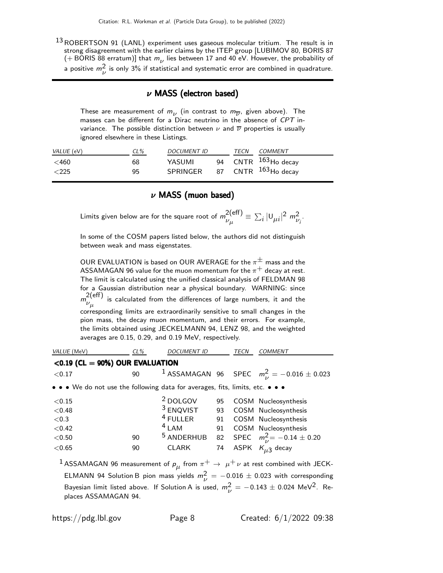13 ROBERTSON 91 (LANL) experiment uses gaseous molecular tritium. The result is in strong disagreement with the earlier claims by the ITEP group [LUBIMOV 80, BORIS 87 (+BORIS 88 erratum)] that  $m_{\nu}$  lies between 17 and 40 eV. However, the probability of a positive  $m_{\nu}^2$  is only 3% if statistical and systematic error are combined in quadrature.

#### $\nu$  MASS (electron based)

These are measurement of  $m_{\nu}$  (in contrast to  $m_{\overline{\nu}}$ , given above). The masses can be different for a Dirac neutrino in the absence of CPT invariance. The possible distinction between  $\nu$  and  $\overline{\nu}$  properties is usually ignored elsewhere in these Listings.

| $VALUE$ (eV)             | $CL\%$   | <i>DOCUMENT ID</i> | TECN | COMMENT                                                            |
|--------------------------|----------|--------------------|------|--------------------------------------------------------------------|
| $<$ 460<br>$\langle 225$ | 68<br>95 | YASUMI<br>SPRINGER |      | 94 CNTR <sup>163</sup> Ho decay<br>87 CNTR <sup>163</sup> Ho decay |

#### $\nu$  MASS (muon based)

Limits given below are for the square root of  $m_{ij}^{2(\text{eff})}$  $v_{\mu}^{2\text{(eff)}} \equiv \sum_i |U_{\mu i}|^2 m_{\nu_i}^2$ .

In some of the COSM papers listed below, the authors did not distinguish between weak and mass eigenstates.

OUR EVALUATION is based on OUR AVERAGE for the  $\pi^{\pm}$  mass and the ASSAMAGAN 96 value for the muon momentum for the  $\pi^{+}$  decay at rest. The limit is calculated using the unified classical analysis of FELDMAN 98 for a Gaussian distribution near a physical boundary. WARNING: since  $m^{2(\text{eff})}_{\ldots}$  $\nu_\mu$  is calculated from the differences of large numbers, it and the corresponding limits are extraordinarily sensitive to small changes in the pion mass, the decay muon momentum, and their errors. For example, the limits obtained using JECKELMANN 94, LENZ 98, and the weighted averages are 0.15, 0.29, and 0.19 MeV, respectively.

| VALUE (MeV)                                                                   | $CL\%$ | <b>DOCUMENT ID</b>    |    | <b>TECN</b> | <b>COMMENT</b>                                                                                            |
|-------------------------------------------------------------------------------|--------|-----------------------|----|-------------|-----------------------------------------------------------------------------------------------------------|
| $<$ 0.19 (CL = 90%) OUR EVALUATION                                            |        |                       |    |             |                                                                                                           |
| < 0.17                                                                        | 90     |                       |    |             | <sup>1</sup> ASSAMAGAN 96 SPEC $m_{ii}^2 = -0.016 \pm 0.023$                                              |
| • • • We do not use the following data for averages, fits, limits, etc. • • • |        |                       |    |             |                                                                                                           |
| < 0.15                                                                        |        | <sup>2</sup> DOLGOV   | 95 |             | COSM Nucleosynthesis                                                                                      |
| < 0.48                                                                        |        | $3$ ENQVIST           | 93 |             | COSM Nucleosynthesis                                                                                      |
| ${<}0.3$                                                                      |        | $4$ FULLER            | 91 |             | COSM Nucleosynthesis                                                                                      |
| < 0.42                                                                        |        | $4$ LAM               | 91 |             | COSM Nucleosynthesis                                                                                      |
| < 0.50                                                                        | 90     | <sup>5</sup> ANDERHUB |    |             | 82 SPEC $m_{\nu}^2 = -0.14 \pm 0.20$                                                                      |
| < 0.65                                                                        | 90     | <b>CLARK</b>          | 74 |             | ASPK $K_{\mu 3}$ decay                                                                                    |
|                                                                               |        |                       |    |             | $^1$ ASSAMAGAN 96 measurement of $p_\mu$ from $\pi^+ \rightarrow \ \mu^+ \nu$ at rest combined with JECK- |

ELMANN 94 Solution B pion mass yields  $m_{\nu}^2 = -0.016 \pm 0.023$  with corresponding Bayesian limit listed above. If Solution A is used,  $m_{\nu}^2 = -0.143 \pm 0.024$  MeV<sup>2</sup>. Replaces ASSAMAGAN 94.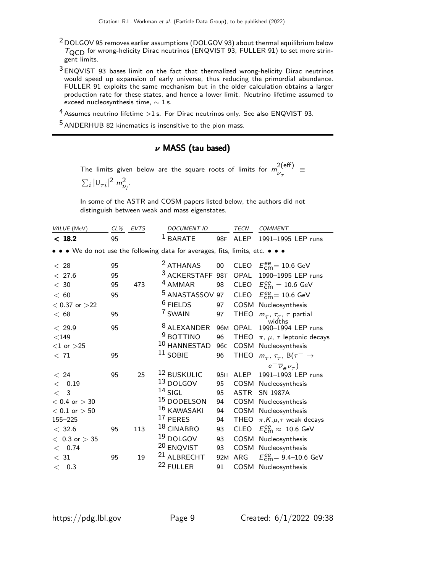- $2$  DOLGOV 95 removes earlier assumptions (DOLGOV 93) about thermal equilibrium below  $T_{\text{QCD}}$  for wrong-helicity Dirac neutrinos (ENQVIST 93, FULLER 91) to set more stringent limits.
- 3 ENQVIST 93 bases limit on the fact that thermalized wrong-helicity Dirac neutrinos would speed up expansion of early universe, thus reducing the primordial abundance. FULLER 91 exploits the same mechanism but in the older calculation obtains a larger production rate for these states, and hence a lower limit. Neutrino lifetime assumed to exceed nucleosynthesis time,  $\sim$  1 s.
- $4$  Assumes neutrino lifetime  $>1$  s. For Dirac neutrinos only. See also ENQVIST 93.

5 ANDERHUB 82 kinematics is insensitive to the pion mass.

# $\nu$  MASS (tau based)

The limits given below are the square roots of limits for  $m_{11}^{2(eff)}$  $v_{\tau}$  =  $\sum_{i} |U_{\tau i}|^2 m_{\nu_i}^2$ .

In some of the ASTR and COSM papers listed below, the authors did not distinguish between weak and mass eigenstates.

| VALUE (MeV)       | CL% EVTS |     | <b>DOCUMENT ID</b>                                                            |                 | TECN        | <b>COMMENT</b>                                              |
|-------------------|----------|-----|-------------------------------------------------------------------------------|-----------------|-------------|-------------------------------------------------------------|
| < 18.2            | 95       |     | $1$ BARATE                                                                    | 98F             | ALEP        | 1991-1995 LEP runs                                          |
|                   |          |     | • • • We do not use the following data for averages, fits, limits, etc. • • • |                 |             |                                                             |
| < 28              | 95       |     | <sup>2</sup> ATHANAS                                                          | 00              |             | CLEO $E_{\text{cm}}^{ee}$ = 10.6 GeV                        |
| < 27.6            | 95       |     | 3 ACKERSTAFF 98T                                                              |                 | OPAL        | 1990-1995 LEP runs                                          |
| $<$ 30            | 95       | 473 | <sup>4</sup> AMMAR                                                            | 98              | CLEO        | $E_{\text{cm}}^{\text{ee}} = 10.6 \text{ GeV}$              |
| < 60              | 95       |     | <sup>5</sup> ANASTASSOV 97                                                    |                 |             | CLEO $E_{\text{cm}}^{ee} = 10.6 \text{ GeV}$                |
| $< 0.37$ or $>22$ |          |     | $6$ FIELDS                                                                    | 97              | COSM        | Nucleosynthesis                                             |
| < 68              | 95       |     | 7 SWAIN                                                                       | 97              | <b>THEO</b> | $m_{\tau}$ , $\tau_{\tau}$ , $\tau$ partial                 |
| < 29.9            | 95       |     | <sup>8</sup> ALEXANDER                                                        |                 | 96M OPAL    | widths<br>1990-1994 LEP runs                                |
| $<$ 149           |          |     | <sup>9</sup> BOTTINO                                                          | 96              | <b>THEO</b> | $\pi$ , $\mu$ , $\tau$ leptonic decays                      |
| $<$ 1 or $>$ 25   |          |     | $10$ HANNESTAD                                                                | 96 <sub>C</sub> | COSM        | Nucleosynthesis                                             |
| < 71              | 95       |     | $11$ SOBIE                                                                    | 96              |             | THEO $m_{\tau}$ , $\tau_{\tau}$ , B( $\tau^{-} \rightarrow$ |
|                   |          |     |                                                                               |                 |             | $e^{-\overline{\nu}_e \nu_{\tau}}$                          |
| < 24              | 95       | 25  | 12 BUSKULIC                                                                   | 95 <sub>H</sub> | ALEP        | 1991-1993 LEP runs                                          |
| 0.19<br>$\,<\,$   |          |     | 13 DOLGOV                                                                     | 95              | COSM        | Nucleosynthesis                                             |
| $\lt$<br>3        |          |     | $14$ SIGL                                                                     | 95              | ASTR        | <b>SN 1987A</b>                                             |
| $< 0.4$ or $> 30$ |          |     | 15 DODELSON                                                                   | 94              |             | COSM Nucleosynthesis                                        |
| $< 0.1$ or $> 50$ |          |     | 16 KAWASAKI                                                                   | 94              | COSM        | Nucleosynthesis                                             |
| 155-225           |          |     | 17 PERES                                                                      | 94              | THEO        | $\pi$ , K, $\mu$ , $\tau$ weak decays                       |
| < 32.6            | 95       | 113 | 18 CINABRO                                                                    | 93              | <b>CLEO</b> | $E_{\text{cm}}^{\text{ee}} \approx 10.6 \text{ GeV}$        |
| $< 0.3$ or $> 35$ |          |     | $19$ DOLGOV                                                                   | 93              |             | COSM Nucleosynthesis                                        |
| < 0.74            |          |     | <sup>20</sup> ENQVIST                                                         | 93              | COSM        | Nucleosynthesis                                             |
| < 31              | 95       | 19  | <sup>21</sup> ALBRECHT                                                        | 92 <sub>M</sub> | ARG         | $E_{\text{cm}}^{\text{ee}} = 9.4 - 10.6 \text{ GeV}$        |
| $<$ 0.3           |          |     | 22 FULLER                                                                     | 91              |             | COSM Nucleosynthesis                                        |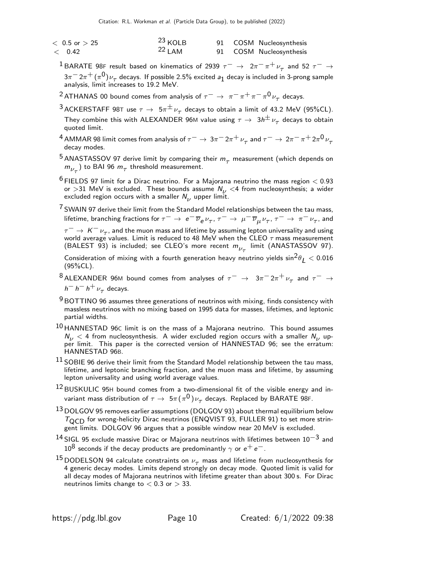| $<$ 0.5 or $>$ 25 | $23$ KOLB |  | 91 COSM Nucleosynthesis |
|-------------------|-----------|--|-------------------------|
| < 0.42            | $22$ LAM  |  | 91 COSM Nucleosynthesis |

- <sup>1</sup> BARATE 98F result based on kinematics of 2939  $\tau^ \rightarrow$   $2\pi^- \pi^+ \nu_\tau$  and 52  $\tau^ \rightarrow$  $3\pi^-2\pi^+ (\pi^0) \nu_\tau$  decays. If possible 2.5% excited  $a_1$  decay is included in 3-prong sample analysis, limit increases to 19.2 MeV.
- $^2$ ATHANAS 00 bound comes from analysis of  $\tau^-\rightarrow~\pi^-\,\pi^+\,\pi^-\,\pi^0\,\nu_\tau^{}$  decays.
- $^3$ ACKERSTAFF 98T use  $\tau\to\;5\pi^\pm\nu_\tau^{}$  decays to obtain a limit of 43.2 MeV (95%CL). They combine this with ALEXANDER 96M value using  $\tau \to 3h^{\pm} \nu_{\tau}$  decays to obtain quoted limit.
- $^4$  AMMAR 98 limit comes from analysis of  $\tau^-\to 3\pi^-2\pi^+\,\nu_\tau$  and  $\tau^-\to 2\pi^-\,\pi^+2\pi^0\,\nu_\tau$ decay modes.
- $^5$  ANASTASSOV 97 derive limit by comparing their  $m_\tau$  measurement (which depends on  $m_{\nu_\tau}$ ) to BAI 96  $m_\tau$  threshold measurement.
- $^6$  FIELDS 97 limit for a Dirac neutrino. For a Majorana neutrino the mass region  $<$  0.93 or >31 MeV is excluded. These bounds assume  $N_{11}$  <4 from nucleosynthesis; a wider excluded region occurs with a smaller  $N_{\nu}$  upper limit.

 $7$  SWAIN 97 derive their limit from the Standard Model relationships between the tau mass, lifetime, branching fractions for  $\tau^-\to~e^-\overline\nu_e\nu_\tau$ ,  $\tau^-\to~\mu^-\overline\nu_\mu\nu_\tau$ ,  $\tau^-\to~\pi^-\nu_\tau$ , and

 $\tau^ \rightarrow$  K<sup>-</sup> $\nu_{\tau}$ , and the muon mass and lifetime by assuming lepton universality and using world average values. Limit is reduced to 48 MeV when the CLEO  $\tau$  mass measurement (BALEST 93) is included; see CLEO's more recent  $m_{\nu_{\tau}}$  limit (ANASTASSOV 97).

Consideration of mixing with a fourth generation heavy neutrino yields  $\sin^2\theta_I < 0.016$ (95%CL).

- $^8$ ALEXANDER 96M bound comes from analyses of  $\tau^-\,\rightarrow\,\,3\pi^-2\pi^+\,\nu_\tau$  and  $\tau^-\,\rightarrow\,$  $h^- h^- h^+ \nu_\tau$  decays.
- $9$  BOTTINO 96 assumes three generations of neutrinos with mixing, finds consistency with massless neutrinos with no mixing based on 1995 data for masses, lifetimes, and leptonic partial widths.
- $10$  HANNESTAD 96C limit is on the mass of a Majorana neutrino. This bound assumes  $N_{\nu}$  < 4 from nucleosynthesis. A wider excluded region occurs with a smaller  $N_{\nu}$  upper limit. This paper is the corrected version of HANNESTAD 96; see the erratum: HANNESTAD 96B.
- $^{11}$  SOBIE 96 derive their limit from the Standard Model relationship between the tau mass, lifetime, and leptonic branching fraction, and the muon mass and lifetime, by assuming lepton universality and using world average values.
- 12 BUSKULIC 95<sup>H</sup> bound comes from a two-dimensional fit of the visible energy and invariant mass distribution of  $\tau\to~5\pi(\pi^0)\nu_\tau$  decays. Replaced by BARATE 98F.
- $13$  DOLGOV 95 removes earlier assumptions (DOLGOV 93) about thermal equilibrium below  $T_{\text{QCD}}$  for wrong-helicity Dirac neutrinos (ENQVIST 93, FULLER 91) to set more stringent limits. DOLGOV 96 argues that a possible window near 20 MeV is excluded.
- $^{14}$  SIGL 95 exclude massive Dirac or Majorana neutrinos with lifetimes between  $10^{-3}$  and  $10^8$  seconds if the decay products are predominantly  $\gamma$  or  $e^+ \, e^-$  .
- <sup>15</sup> DODELSON 94 calculate constraints on  $\nu_{\tau}$  mass and lifetime from nucleosynthesis for 4 generic decay modes. Limits depend strongly on decay mode. Quoted limit is valid for all decay modes of Majorana neutrinos with lifetime greater than about 300 s. For Dirac neutrinos limits change to  $< 0.3$  or  $> 33$ .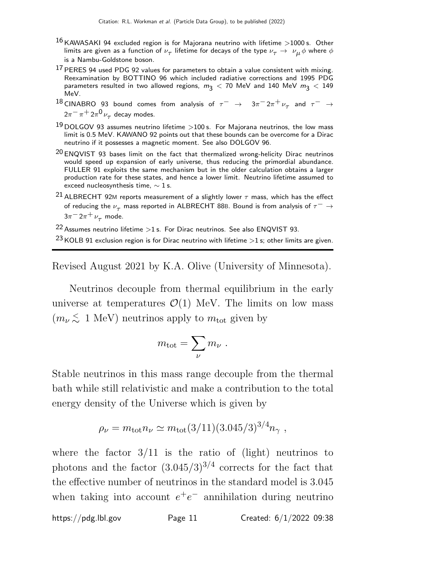- $16$  KAWASAKI 94 excluded region is for Majorana neutrino with lifetime >1000 s. Other limits are given as a function of  $\nu_\tau$  lifetime for decays of the type  $\nu_\tau \to~\nu_\mu \phi$  where  $\phi$ is a Nambu-Goldstone boson.
- $17$  PERES 94 used PDG 92 values for parameters to obtain a value consistent with mixing. Reexamination by BOTTINO 96 which included radiative corrections and 1995 PDG parameters resulted in two allowed regions,  $m_3 < 70$  MeV and 140 MeV  $m_3 < 149$ MeV.
- $^{18}$  CINABRO 93 bound comes from analysis of  $\tau^ \rightarrow$   $3\pi^- 2\pi^+ \nu_\tau$  and  $\tau^ \rightarrow$  $2\pi^-\pi^+2\pi^0\,\nu_\tau$  decay modes.
- $19$  DOLGOV 93 assumes neutrino lifetime  $>$ 100 s. For Majorana neutrinos, the low mass limit is 0.5 MeV. KAWANO 92 points out that these bounds can be overcome for a Dirac neutrino if it possesses a magnetic moment. See also DOLGOV 96.
- $20$  ENQVIST 93 bases limit on the fact that thermalized wrong-helicity Dirac neutrinos would speed up expansion of early universe, thus reducing the primordial abundance. FULLER 91 exploits the same mechanism but in the older calculation obtains a larger production rate for these states, and hence a lower limit. Neutrino lifetime assumed to exceed nucleosynthesis time,  $\sim$  1 s.
- <sup>21</sup> ALBRECHT 92M reports measurement of a slightly lower  $\tau$  mass, which has the effect of reducing the  $\nu_{\tau}$  mass reported in ALBRECHT 88B. Bound is from analysis of  $\tau^{-} \rightarrow$  $3\pi$ <sup>-</sup> $2\pi$ <sup>+</sup> $\nu$ <sub> $\tau$ </sub> mode.

<sup>22</sup> Assumes neutrino lifetime  $>1$  s. For Dirac neutrinos. See also ENQVIST 93.

Revised August 2021 by K.A. Olive (University of Minnesota).

Neutrinos decouple from thermal equilibrium in the early universe at temperatures  $\mathcal{O}(1)$  MeV. The limits on low mass  $(m_\nu \lesssim 1 \text{ MeV})$  neutrinos apply to  $m_\text{tot}$  given by

$$
m_{\rm tot} = \sum_{\nu} m_{\nu} \ .
$$

Stable neutrinos in this mass range decouple from the thermal bath while still relativistic and make a contribution to the total energy density of the Universe which is given by

$$
\rho_{\nu} = m_{\rm tot} n_{\nu} \simeq m_{\rm tot} (3/11)(3.045/3)^{3/4} n_{\gamma} ,
$$

where the factor  $3/11$  is the ratio of (light) neutrinos to photons and the factor  $(3.045/3)^{3/4}$  corrects for the fact that the effective number of neutrinos in the standard model is 3.045 when taking into account  $e^+e^-$  annihilation during neutrino

 $^{23}$  KOLB 91 exclusion region is for Dirac neutrino with lifetime  $>1$  s; other limits are given.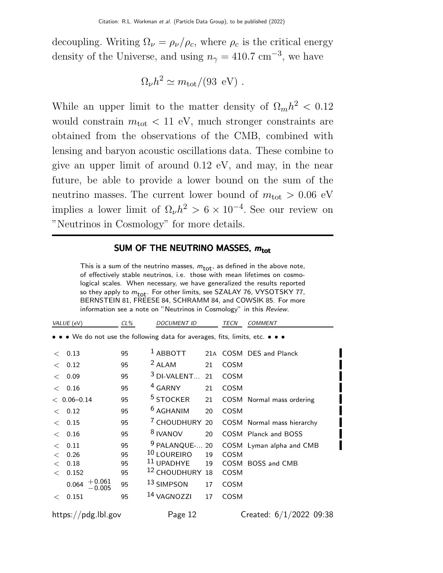decoupling. Writing  $\Omega_{\nu} = \rho_{\nu}/\rho_{c}$ , where  $\rho_{c}$  is the critical energy density of the Universe, and using  $n_{\gamma} = 410.7 \text{ cm}^{-3}$ , we have

$$
\Omega_{\nu}h^2 \simeq m_{\rm tot}/(93~{\rm eV}) \ .
$$

While an upper limit to the matter density of  $\Omega_m h^2 < 0.12$ would constrain  $m_{\text{tot}} < 11$  eV, much stronger constraints are obtained from the observations of the CMB, combined with lensing and baryon acoustic oscillations data. These combine to give an upper limit of around 0.12 eV, and may, in the near future, be able to provide a lower bound on the sum of the neutrino masses. The current lower bound of  $m_{\text{tot}} > 0.06$  eV implies a lower limit of  $\Omega_{\nu} h^2 > 6 \times 10^{-4}$ . See our review on "Neutrinos in Cosmology" for more details.

# SUM OF THE NEUTRINO MASSES,  $m_{\text{tot}}$

This is a sum of the neutrino masses,  $m_{\text{tot}}$ , as defined in the above note, of effectively stable neutrinos, i.e. those with mean lifetimes on cosmological scales. When necessary, we have generalized the results reported so they apply to  $m_{\text{tot}}$ . For other limits, see SZALAY 76, VYSOTSKY 77, BERNSTEIN 81, FREESE 84, SCHRAMM 84, and COWSIK 85. For more information see a note on "Neutrinos in Cosmology" in this Review.

|       | VALUE (eV)                 | $CL\%$ | <b>DOCUMENT ID</b>                                                            |    | <b>TECN</b> | <b>COMMENT</b>             |
|-------|----------------------------|--------|-------------------------------------------------------------------------------|----|-------------|----------------------------|
|       |                            |        | • • • We do not use the following data for averages, fits, limits, etc. • • • |    |             |                            |
| $\lt$ | 0.13                       | 95     | $1$ ABBOTT                                                                    |    |             | 21A COSM DES and Planck    |
| $\lt$ | 0.12                       | 95     | $2$ ALAM                                                                      | 21 | <b>COSM</b> |                            |
| $\lt$ | 0.09                       | 95     | $3$ DI-VALENT                                                                 | 21 | <b>COSM</b> |                            |
| $\lt$ | 0.16                       | 95     | <sup>4</sup> GARNY                                                            | 21 | <b>COSM</b> |                            |
|       | $< 0.06 - 0.14$            | 95     | <sup>5</sup> STOCKER                                                          | 21 |             | COSM Normal mass ordering  |
| $\lt$ | 0.12                       | 95     | $6$ AGHANIM                                                                   | 20 | <b>COSM</b> |                            |
| $\lt$ | 0.15                       | 95     | <sup>7</sup> CHOUDHURY 20                                                     |    |             | COSM Normal mass hierarchy |
| $\lt$ | 0.16                       | 95     | <sup>8</sup> IVANOV                                                           | 20 |             | COSM Planck and BOSS       |
| $\lt$ | 0.11                       | 95     | <sup>9</sup> PALANQUE-                                                        | 20 |             | COSM Lyman alpha and CMB   |
| $\lt$ | 0.26                       | 95     | <sup>10</sup> LOUREIRO                                                        | 19 | <b>COSM</b> |                            |
| $\lt$ | 0.18                       | 95     | <sup>11</sup> UPADHYE                                                         | 19 |             | COSM BOSS and CMB          |
| $\lt$ | 0.152                      | 95     | <sup>12</sup> CHOUDHURY                                                       | 18 | <b>COSM</b> |                            |
|       | $+0.061$<br>0.064<br>0.005 | 95     | <sup>13</sup> SIMPSON                                                         | 17 | <b>COSM</b> |                            |
| $\lt$ | 0.151                      | 95     | <sup>14</sup> VAGNOZZI                                                        | 17 | <b>COSM</b> |                            |
|       | https://pdg.lbl.gov        |        | Page 12                                                                       |    |             | Created: 6/1/2022 09:38    |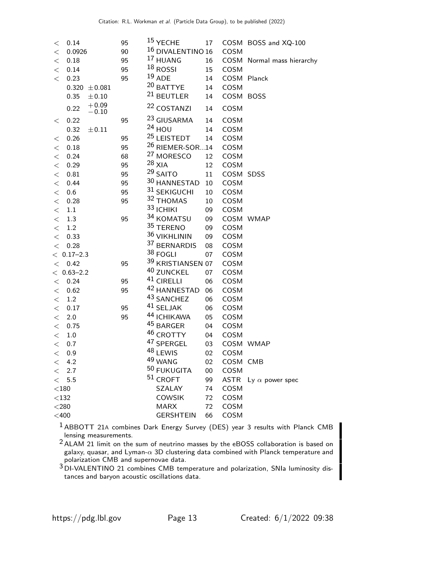| $\lt$          | 0.14                       | 95       | <sup>15</sup> YECHE<br><sup>16</sup> DIVALENTINO 16 | 17     |             | COSM BOSS and XQ-100       |
|----------------|----------------------------|----------|-----------------------------------------------------|--------|-------------|----------------------------|
| $\lt$<br>$\lt$ | 0.0926<br>0.18             | 90<br>95 | <sup>17</sup> HUANG                                 | 16     | COSM        | COSM Normal mass hierarchy |
| $\lt$          | 0.14                       | 95       | $18$ ROSSI                                          | 15     | <b>COSM</b> |                            |
| $\lt$          | 0.23                       | 95       | $19$ ADE                                            | 14     | COSM Planck |                            |
|                | $0.320 \pm 0.081$          |          | <sup>20</sup> BATTYE                                | 14     | COSM        |                            |
|                | 0.35<br>$\pm 0.10$         |          | <sup>21</sup> BEUTLER                               | 14     | COSM BOSS   |                            |
|                | $+0.09$<br>0.22<br>$-0.10$ |          | <sup>22</sup> COSTANZI                              | 14     | COSM        |                            |
| $\,<\,$        | 0.22                       | 95       | 23 GIUSARMA                                         | 14     | COSM        |                            |
|                | 0.32<br>$\pm 0.11$         |          | $24$ HOU                                            | 14     | COSM        |                            |
| $\,<\,$        | 0.26                       | 95       | <sup>25</sup> LEISTEDT                              | 14     | COSM        |                            |
| $\lt$          | 0.18                       | 95       | <sup>26</sup> RIEMER-SOR14                          |        | COSM        |                            |
| $\lt$          | 0.24                       | 68       | <sup>27</sup> MORESCO                               | 12     | COSM        |                            |
| $\lt$          | 0.29                       | 95       | $28$ XIA                                            | 12     | COSM        |                            |
| $\lt$          | 0.81                       | 95       | <sup>29</sup> SAITO                                 | 11     | COSM SDSS   |                            |
| $\lt$          | 0.44                       | 95       | 30 HANNESTAD                                        | 10     | COSM        |                            |
| $\lt$          | 0.6                        | 95       | 31 SEKIGUCHI                                        | 10     | COSM        |                            |
| $\lt$          | 0.28                       | 95       | 32 THOMAS                                           | 10     | COSM        |                            |
| $\lt$          | 1.1                        |          | 33 ICHIKI                                           | 09     | COSM        |                            |
| $\lt$          | 1.3                        | 95       | 34 KOMATSU                                          | 09     |             | COSM WMAP                  |
| $\lt$          | 1.2                        |          | 35 TERENO                                           | 09     | COSM        |                            |
| $\lt$          | 0.33                       |          | 36 VIKHLININ                                        | 09     | COSM        |                            |
| $\lt$          | 0.28                       |          | 37 BERNARDIS                                        | 08     | COSM        |                            |
|                | $< 0.17 - 2.3$             |          | 38 FOGLI                                            | 07     | COSM        |                            |
| $\lt$          | 0.42                       | 95       | 39 KRISTIANSEN 07                                   |        | COSM        |                            |
|                | $< 0.63 - 2.2$             |          | 40 ZUNCKEL                                          | 07     | COSM        |                            |
| $\lt$          | 0.24                       | 95       | 41 CIRELLI                                          | 06     | COSM        |                            |
| $\lt$          | 0.62                       | 95       | 42 HANNESTAD                                        | 06     | COSM        |                            |
| $\lt$          | 1.2                        |          | 43 SANCHEZ                                          | 06     | COSM        |                            |
| $\lt$          | 0.17                       | 95       | 41 SELJAK                                           | 06     | COSM        |                            |
| $\lt$          | 2.0                        | 95       | 44 ICHIKAWA                                         | 05     | COSM        |                            |
| $\lt$          | 0.75                       |          | 45 BARGER                                           | 04     | COSM        |                            |
| $\lt$          | $1.0\,$                    |          | 46 CROTTY                                           | 04     | COSM        |                            |
| $\lt$          | 0.7                        |          | 47 SPERGEL                                          | 03     |             | COSM WMAP                  |
| $\lt$          | 0.9                        |          | 48 LEWIS                                            | 02     | COSM        |                            |
| <              | 4.2                        |          | 49 WANG                                             | 02     | COSM CMB    |                            |
| $\lt$          | 2.7                        |          | 50 FUKUGITA<br>$51$ CROFT                           | $00\,$ | COSM        |                            |
| $\lt$          | 5.5                        |          |                                                     | 99     | ASTR        | Ly $\alpha$ power spec     |
| $<$ 180 $\,$   |                            |          | SZALAY                                              | 74     | COSM        |                            |
| $<132$         |                            |          | <b>COWSIK</b><br><b>MARX</b>                        | 72     | COSM        |                            |
| $<$ 280        |                            |          |                                                     | 72     | COSM        |                            |
| $<$ 400        |                            |          | <b>GERSHTEIN</b>                                    | 66     | COSM        |                            |

1 ABBOTT 21<sup>A</sup> combines Dark Energy Survey (DES) year 3 results with Planck CMB lensing measurements.

- $2$  ALAM 21 limit on the sum of neutrino masses by the eBOSS collaboration is based on galaxy, quasar, and Lyman- $\alpha$  3D clustering data combined with Planck temperature and polarization CMB and supernovae data.
- 3 DI-VALENTINO 21 combines CMB temperature and polarization, SNIa luminosity distances and baryon acoustic oscillations data.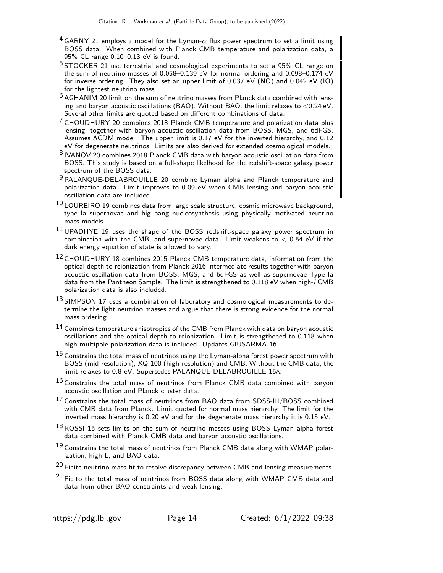- <sup>4</sup> GARNY 21 employs a model for the Lyman- $\alpha$  flux power spectrum to set a limit using BOSS data. When combined with Planck CMB temperature and polarization data, a 95% CL range 0.10–0.13 eV is found.
- <sup>5</sup> STOCKER 21 use terrestrial and cosmological experiments to set a 95% CL range on the sum of neutrino masses of 0.058–0.139 eV for normal ordering and 0.098–0.174 eV for inverse ordering. They also set an upper limit of 0.037 eV  $(NO)$  and 0.042 eV  $(1O)$ for the lightest neutrino mass.
- $6$  AGHANIM 20 limit on the sum of neutrino masses from Planck data combined with lensing and baryon acoustic oscillations (BAO). Without BAO, the limit relaxes to <0.24 eV. Several other limits are quoted based on different combinations of data.
- 7 CHOUDHURY 20 combines 2018 Planck CMB temperature and polarization data plus lensing, together with baryon acoustic oscillation data from BOSS, MGS, and 6dFGS. Assumes ΛCDM model. The upper limit is 0.17 eV for the inverted hierarchy, and 0.12 eV for degenerate neutrinos. Limits are also derived for extended cosmological models.
- 8 IVANOV 20 combines 2018 Planck CMB data with baryon acoustic oscillation data from BOSS. This study is based on a full-shape likelhood for the redshift-space galaxy power spectrum of the BOSS data.
- 9 PALANQUE-DELABROUILLE 20 combine Lyman alpha and Planck temperature and polarization data. Limit improves to 0.09 eV when CMB lensing and baryon acoustic oscillation data are included.
- $^{10}$  LOUREIRO 19 combines data from large scale structure, cosmic microwave background, type Ia supernovae and big bang nucleosynthesis using physically motivated neutrino mass models.
- $11$  UPADHYE 19 uses the shape of the BOSS redshift-space galaxy power spectrum in combination with the CMB, and supernovae data. Limit weakens to  $< 0.54$  eV if the dark energy equation of state is allowed to vary.
- <sup>12</sup> CHOUDHURY 18 combines 2015 Planck CMB temperature data, information from the optical depth to reionization from Planck 2016 intermediate results together with baryon acoustic oscillation data from BOSS, MGS, and 6dFGS as well as supernovae Type Ia data from the Pantheon Sample. The limit is strengthened to 0.118 eV when high-/ CMB polarization data is also included.
- $13$  SIMPSON 17 uses a combination of laboratory and cosmological measurements to determine the light neutrino masses and argue that there is strong evidence for the normal mass ordering.
- 14 Combines temperature anisotropies of the CMB from Planck with data on baryon acoustic oscillations and the optical depth to reionization. Limit is strengthened to 0.118 when high multipole polarization data is included. Updates GIUSARMA 16.
- $^{15}$  Constrains the total mass of neutrinos using the Lyman-alpha forest power spectrum with BOSS (mid-resolution), XQ-100 (high-resolution) and CMB. Without the CMB data, the limit relaxes to 0.8 eV. Supersedes PALANQUE-DELABROUILLE 15A.
- <sup>16</sup> Constrains the total mass of neutrinos from Planck CMB data combined with baryon acoustic oscillation and Planck cluster data.
- $17$  Constrains the total mass of neutrinos from BAO data from SDSS-III/BOSS combined with CMB data from Planck. Limit quoted for normal mass hierarchy. The limit for the inverted mass hierarchy is 0.20 eV and for the degenerate mass hierarchy it is 0.15 eV.
- $18$  ROSSI 15 sets limits on the sum of neutrino masses using BOSS Lyman alpha forest data combined with Planck CMB data and baryon acoustic oscillations.
- $19$  Constrains the total mass of neutrinos from Planck CMB data along with WMAP polarization, high L, and BAO data.
- $20$  Finite neutrino mass fit to resolve discrepancy between CMB and lensing measurements.
- $21$  Fit to the total mass of neutrinos from BOSS data along with WMAP CMB data and data from other BAO constraints and weak lensing.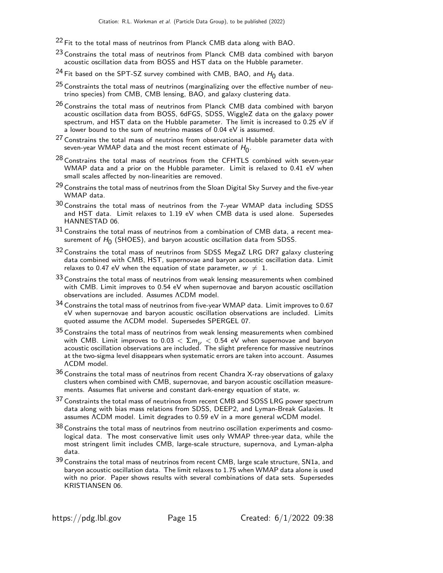- $22$  Fit to the total mass of neutrinos from Planck CMB data along with BAO.
- <sup>23</sup> Constrains the total mass of neutrinos from Planck CMB data combined with baryon acoustic oscillation data from BOSS and HST data on the Hubble parameter.
- $^{24}$  Fit based on the SPT-SZ survey combined with CMB, BAO, and  $H_0$  data.
- $25$  Constraints the total mass of neutrinos (marginalizing over the effective number of neutrino species) from CMB, CMB lensing, BAO, and galaxy clustering data.
- $26$  Constrains the total mass of neutrinos from Planck CMB data combined with baryon acoustic oscillation data from BOSS, 6dFGS, SDSS, WiggleZ data on the galaxy power spectrum, and HST data on the Hubble parameter. The limit is increased to 0.25 eV if a lower bound to the sum of neutrino masses of 0.04 eV is assumed.
- $27$  Constrains the total mass of neutrinos from observational Hubble parameter data with seven-year WMAP data and the most recent estimate of  $H_0^{\vphantom{\dagger}}$  .
- $28$  Constrains the total mass of neutrinos from the CFHTLS combined with seven-year WMAP data and a prior on the Hubble parameter. Limit is relaxed to 0.41 eV when small scales affected by non-linearities are removed.
- $29$  Constrains the total mass of neutrinos from the Sloan Digital Sky Survey and the five-year WMAP data.
- 30 Constrains the total mass of neutrinos from the 7-year WMAP data including SDSS and HST data. Limit relaxes to 1.19 eV when CMB data is used alone. Supersedes HANNESTAD 06.
- 31 Constrains the total mass of neutrinos from a combination of CMB data, a recent measurement of  $H_0$  (SHOES), and baryon acoustic oscillation data from SDSS.
- 32 Constrains the total mass of neutrinos from SDSS MegaZ LRG DR7 galaxy clustering data combined with CMB, HST, supernovae and baryon acoustic oscillation data. Limit relaxes to 0.47 eV when the equation of state parameter,  $w \neq 1$ .
- $33$  Constrains the total mass of neutrinos from weak lensing measurements when combined with CMB. Limit improves to 0.54 eV when supernovae and baryon acoustic oscillation observations are included. Assumes ΛCDM model.
- $^{34}$  Constrains the total mass of neutrinos from five-year WMAP data. Limit improves to 0.67 eV when supernovae and baryon acoustic oscillation observations are included. Limits quoted assume the ΛCDM model. Supersedes SPERGEL 07.
- 35 Constrains the total mass of neutrinos from weak lensing measurements when combined with CMB. Limit improves to 0.03  $<\Sigma m_\nu<$  0.54 eV when supernovae and baryon<br>acoustic oscillation observations are included. The slight preference for massive neutrinos at the two-sigma level disappears when systematic errors are taken into account. Assumes ΛCDM model.
- $36$  Constrains the total mass of neutrinos from recent Chandra X-ray observations of galaxy clusters when combined with CMB, supernovae, and baryon acoustic oscillation measurements. Assumes flat universe and constant dark-energy equation of state, w.
- 37 Constraints the total mass of neutrinos from recent CMB and SOSS LRG power spectrum data along with bias mass relations from SDSS, DEEP2, and Lyman-Break Galaxies. It assumes ΛCDM model. Limit degrades to 0.59 eV in a more general wCDM model.
- $38$  Constrains the total mass of neutrinos from neutrino oscillation experiments and cosmological data. The most conservative limit uses only WMAP three-year data, while the most stringent limit includes CMB, large-scale structure, supernova, and Lyman-alpha data.
- 39 Constrains the total mass of neutrinos from recent CMB, large scale structure, SN1a, and baryon acoustic oscillation data. The limit relaxes to 1.75 when WMAP data alone is used with no prior. Paper shows results with several combinations of data sets. Supersedes KRISTIANSEN 06.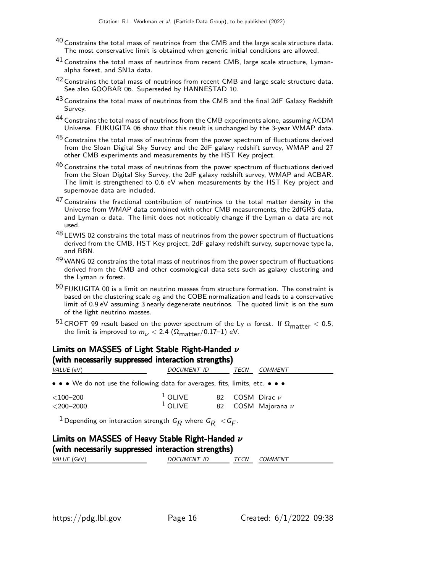- $^{40}$  Constrains the total mass of neutrinos from the CMB and the large scale structure data. The most conservative limit is obtained when generic initial conditions are allowed.
- $41$  Constrains the total mass of neutrinos from recent CMB, large scale structure, Lymanalpha forest, and SN1a data.
- $42$  Constrains the total mass of neutrinos from recent CMB and large scale structure data. See also GOOBAR 06. Superseded by HANNESTAD 10.
- 43 Constrains the total mass of neutrinos from the CMB and the final 2dF Galaxy Redshift Survey.
- 44 Constrains the total mass of neutrinos from the CMB experiments alone, assuming ΛCDM Universe. FUKUGITA 06 show that this result is unchanged by the 3-year WMAP data.
- 45 Constrains the total mass of neutrinos from the power spectrum of fluctuations derived from the Sloan Digital Sky Survey and the 2dF galaxy redshift survey, WMAP and 27 other CMB experiments and measurements by the HST Key project.
- $^{46}$  Constrains the total mass of neutrinos from the power spectrum of fluctuations derived from the Sloan Digital Sky Survey, the 2dF galaxy redshift survey, WMAP and ACBAR. The limit is strengthened to 0.6 eV when measurements by the HST Key project and supernovae data are included.
- $47$  Constrains the fractional contribution of neutrinos to the total matter density in the Universe from WMAP data combined with other CMB measurements, the 2dfGRS data, and Lyman  $\alpha$  data. The limit does not noticeably change if the Lyman  $\alpha$  data are not used.
- 48 LEWIS 02 constrains the total mass of neutrinos from the power spectrum of fluctuations derived from the CMB, HST Key project, 2dF galaxy redshift survey, supernovae type Ia, and BBN.
- 49 WANG 02 constrains the total mass of neutrinos from the power spectrum of fluctuations derived from the CMB and other cosmological data sets such as galaxy clustering and the Lyman  $\alpha$  forest.
- 50 FUKUGITA 00 is a limit on neutrino masses from structure formation. The constraint is based on the clustering scale  $\sigma_8$  and the COBE normalization and leads to a conservative limit of 0.9 eV assuming 3 nearly degenerate neutrinos. The quoted limit is on the sum of the light neutrino masses.
- <sup>51</sup> CROFT 99 result based on the power spectrum of the Ly  $\alpha$  forest. If  $\Omega_{\text{matter}} < 0.5$ , the limit is improved to  $m_{\nu}$  < 2.4 ( $\Omega_{\text{matter}}/0.17$ –1) eV.

#### Limits on MASSES of Light Stable Right-Handed ν (with necessarily suppressed interaction strengths)

| $\sum_{i=1}^{n}$<br><i>VALUE</i> (eV)                                         | <i>DOCUMENT ID</i>     | TECN | COMMENT                                            |
|-------------------------------------------------------------------------------|------------------------|------|----------------------------------------------------|
| • • • We do not use the following data for averages, fits, limits, etc. • • • |                        |      |                                                    |
| $<$ 100–200 $\,$<br>$<$ 200–2000                                              | $1$ OLIVE<br>$1$ OLIVE |      | 82 $\,$ COSM Dirac $\nu$<br>82 COSM Majorana $\nu$ |

 $^1$ Depending on interaction strength  $\emph{G}_{\pmb{R}}$  where  $\emph{G}_{\pmb{R}} <$   $\emph{G}_{\pmb{F}}.$ 

# Limits on MASSES of Heavy Stable Right-Handed ν (with necessarily suppressed interaction strengths)

| VALUE<br>GeV <sup>'</sup> | $\mathcal{L}$ UMEN $\bm{\tau}$<br>ID<br>OC.<br>Х | TECN<br>_______ | <i>JMMENT</i> |
|---------------------------|--------------------------------------------------|-----------------|---------------|
|                           |                                                  |                 |               |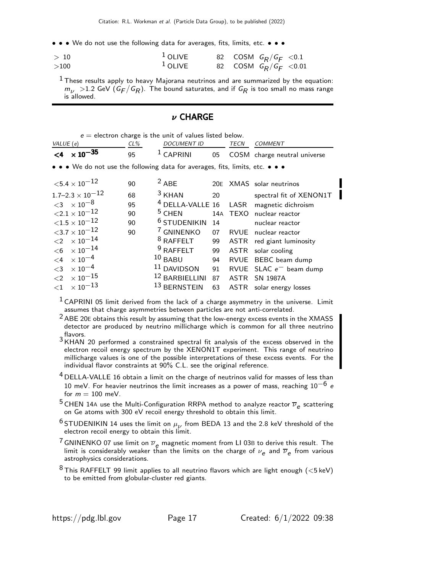• • • We do not use the following data for averages, fits, limits, etc. • • •

| >10  | $1$ OLIVE | 82 COSM $G_R/G_F < 0.1$  |  |
|------|-----------|--------------------------|--|
| >100 | $1$ OLIVE | 82 COSM $G_R/G_F < 0.01$ |  |

 $<sup>1</sup>$  These results apply to heavy Majorana neutrinos and are summarized by the equation:</sup>  $m_{\nu}$   $>$  1.2 GeV (G $_{F}/$ G $_{R}$ ). The bound saturates, and if G $_{R}$  is too small no mass range is allowed.

# ν CHARGE

|                     | $e =$ electron charge is the unit of values listed below. |        |                                                                               |     |             |                              |  |
|---------------------|-----------------------------------------------------------|--------|-------------------------------------------------------------------------------|-----|-------------|------------------------------|--|
| VALUE (e)           |                                                           | $CL\%$ | <b>DOCUMENT ID</b>                                                            |     | TECN        | <b>COMMENT</b>               |  |
|                     | $< 4 \times 10^{-35}$                                     | 95     | $1$ CAPRINI                                                                   | 05  |             | COSM charge neutral universe |  |
|                     |                                                           |        | • • • We do not use the following data for averages, fits, limits, etc. • • • |     |             |                              |  |
|                     | ${<}5.4\times10^{-12}$                                    | 90     | $2$ ABE                                                                       |     |             | 20E XMAS solar neutrinos     |  |
|                     | $1.7 - 2.3 \times 10^{-12}$                               | 68     | $3$ KHAN                                                                      | 20  |             | spectral fit of XENON1T      |  |
|                     | ${<}3 \times 10^{-8}$                                     | 95     | <sup>4</sup> DELLA-VALLE 16                                                   |     | LASR        | magnetic dichroism           |  |
|                     | ${<}2.1 \times 10^{-12}$                                  | 90     | $5$ CHEN                                                                      | 14A |             | TEXO nuclear reactor         |  |
|                     | ${<}1.5\times10^{-12}$                                    | 90     | <sup>6</sup> STUDENIKIN                                                       | 14  |             | nuclear reactor              |  |
|                     | ${<}3.7\times10^{-12}$                                    | 90     | <sup>7</sup> GNINENKO                                                         | 07  | RVUE        | nuclear reactor              |  |
|                     | $<\!\!2\phantom{.0} \times 10^{-14}$                      |        | <sup>8</sup> RAFFELT                                                          | 99  |             | ASTR red giant luminosity    |  |
|                     | $<\!6\phantom{a}\times10^{-14}$                           |        | $9$ RAFFELT                                                                   | 99  | ASTR        | solar cooling                |  |
| $\leq$ 4            | $\times$ 10 $^{-4}$                                       |        | $10$ BABU                                                                     | 94  |             | RVUE BEBC beam dump          |  |
| $\leq$ 3            | $\times$ 10 $^{-4}$                                       |        | 11 DAVIDSON                                                                   | 91  |             | RVUE SLAC $e^-$ beam dump    |  |
| $\langle 2 \rangle$ | $\times$ 10 $^{-15}$                                      |        | 12 BARBIELLINI                                                                | 87  | <b>ASTR</b> | SN 1987A                     |  |
| ${<}1$              | $\times$ 10 $^{-13}$                                      |        | 13 BERNSTEIN                                                                  | 63  |             | ASTR solar energy losses     |  |

 $1$  CAPRINI 05 limit derived from the lack of a charge asymmetry in the universe. Limit assumes that charge asymmetries between particles are not anti-correlated.

<sup>2</sup> ABE 20E obtains this result by assuming that the low-energy excess events in the XMASS detector are produced by neutrino millicharge which is common for all three neutrino flavors.

3 KHAN 20 performed a constrained spectral fit analysis of the excess observed in the electron recoil energy spectrum by the XENON1T experiment. This range of neutrino millicharge values is one of the possible interpretations of these excess events. For the individual flavor constraints at 90% C.L. see the original reference.

 $4$  DELLA-VALLE 16 obtain a limit on the charge of neutrinos valid for masses of less than 10 meV. For heavier neutrinos the limit increases as a power of mass, reaching  $10^{-6}$  e for  $m = 100$  meV.

<sup>5</sup> CHEN 14A use the Multi-Configuration RRPA method to analyze reactor  $\overline{\nu}_e$  scattering on Ge atoms with 300 eV recoil energy threshold to obtain this limit.

 $^6$ STUDENIKIN 14 uses the limit on  $\mu_\nu$  from BEDA 13 and the 2.8 keV threshold of the electron recoil energy to obtain this limit.

<sup>7</sup> GNINENKO 07 use limit on  $\overline{\nu}_e$  magnetic moment from LI 03B to derive this result. The limit is considerably weaker than the limits on the charge of  $\nu_{\bm e}$  and  $\overline{\nu}_{\bm e}$  from various astrophysics considerations.

 $8$  This RAFFELT 99 limit applies to all neutrino flavors which are light enough ( $<$ 5 keV) to be emitted from globular-cluster red giants.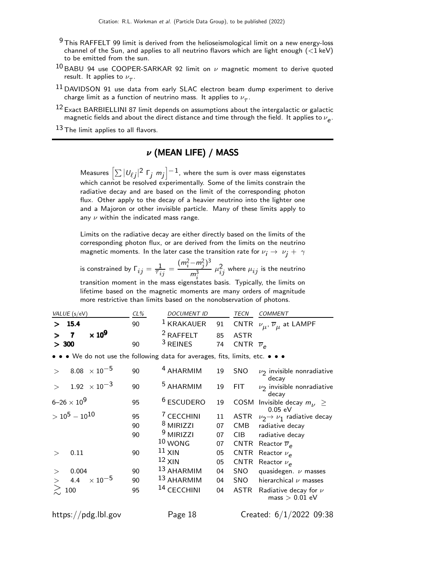- $9$  This RAFFELT 99 limit is derived from the helioseismological limit on a new energy-loss channel of the Sun, and applies to all neutrino flavors which are light enough  $(<1 \text{ keV})$ to be emitted from the sun.
- $10$  BABU 94 use COOPER-SARKAR 92 limit on  $\nu$  magnetic moment to derive quoted result. It applies to  $\nu_{\tau}$ .
- $^{11}$  DAVIDSON 91 use data from early SLAC electron beam dump experiment to derive charge limit as a function of neutrino mass. It applies to  $\nu_{_{\cal T}}.$
- $12$  Exact BARBIELLINI 87 limit depends on assumptions about the intergalactic or galactic magnetic fields and about the direct distance and time through the field. It applies to  $\nu_{\bm{e}}.$

 $13$  The limit applies to all flavors.

# ν (MEAN LIFE) / MASS

Measures  $\left[\sum|\nu_{\ell j}|^2\;{\sf F}_j\;m_j\right]^{-1}$ , where the sum is over mass eigenstates which cannot be resolved experimentally. Some of the limits constrain the radiative decay and are based on the limit of the corresponding photon flux. Other apply to the decay of a heavier neutrino into the lighter one and a Majoron or other invisible particle. Many of these limits apply to any  $\nu$  within the indicated mass range.

Limits on the radiative decay are either directly based on the limits of the corresponding photon flux, or are derived from the limits on the neutrino magnetic moments. In the later case the transition rate for  $\nu_i \rightarrow \nu_i + \gamma$ 

is constrained by  $\Gamma_{ij} = \frac{1}{\tau_{ij}} =$  $(m_i^2 - m_j^2)^3$  $m_i^3$  $\mu_{ij}^2$  where  $\mu_{ij}$  is the neutrino transition moment in the mass eigenstates basis. Typically, the limits on lifetime based on the magnetic moments are many orders of magnitude more restrictive than limits based on the nonobservation of photons.

|       | <i>VALUE</i> (s/eV) |                   | $CL\%$ | <i>DOCUMENT ID</i>                                  | TECN                       | COMMENT                                                                     |
|-------|---------------------|-------------------|--------|-----------------------------------------------------|----------------------------|-----------------------------------------------------------------------------|
|       | >15.4               |                   | 90     |                                                     |                            | <sup>1</sup> KRAKAUER 91 CNTR $\nu_{\mu}$ , $\overline{\nu}_{\mu}$ at LAMPF |
|       |                     | $> 7 \times 10^9$ | 90     | <sup>2</sup> RAFFELT 85 ASTR<br><sup>3</sup> REINES |                            |                                                                             |
| > 300 |                     |                   |        |                                                     | 74 CNTR $\overline{\nu}_e$ |                                                                             |

• • • We do not use the following data for averages, fits, limits, etc. • • •

| 8.08 $\times 10^{-5}$  | 90 | <sup>4</sup> AHARMIM   | 19 | <b>SNO</b>  | $\nu_2$ invisible nonradiative<br>decay       |
|------------------------|----|------------------------|----|-------------|-----------------------------------------------|
| $1.92 \times 10^{-3}$  | 90 | <sup>5</sup> AHARMIM   | 19 | <b>FIT</b>  | $\nu_2$ invisible nonradiative<br>decay       |
| $6 - 26 \times 10^{9}$ | 95 | <sup>6</sup> ESCUDERO  | 19 | COSM        | Invisible decay $m_{12} \geq$<br>$0.05$ eV    |
| $> 10^5 - 10^{10}$     | 95 | <sup>7</sup> CECCHINI  | 11 | ASTR        | $\nu_2 \rightarrow \nu_1$ radiative decay     |
|                        | 90 | <sup>8</sup> MIRIZZI   | 07 | <b>CMB</b>  | radiative decay                               |
|                        | 90 | <sup>9</sup> MIRIZZI   | 07 | <b>CIB</b>  | radiative decay                               |
|                        |    | $10$ WONG              | 07 | <b>CNTR</b> | Reactor $\overline{\nu}_e$                    |
| 0.11                   | 90 | $11 \times IN$         | 05 | <b>CNTR</b> | Reactor $\nu_{\rho}$                          |
|                        |    | $12$ XIN               | 05 | <b>CNTR</b> | Reactor $\nu_{\rho}$                          |
| 0.004                  | 90 | 13 AHARMIM             | 04 | <b>SNO</b>  | quasidegen. $\nu$ masses                      |
| 4.4 $\times 10^{-5}$   | 90 | $13$ AHARMIM           | 04 | SNO         | hierarchical $\nu$ masses                     |
| 100                    | 95 | <sup>14</sup> CECCHINI | 04 | ASTR        | Radiative decay for $\nu$<br>$mass > 0.01$ eV |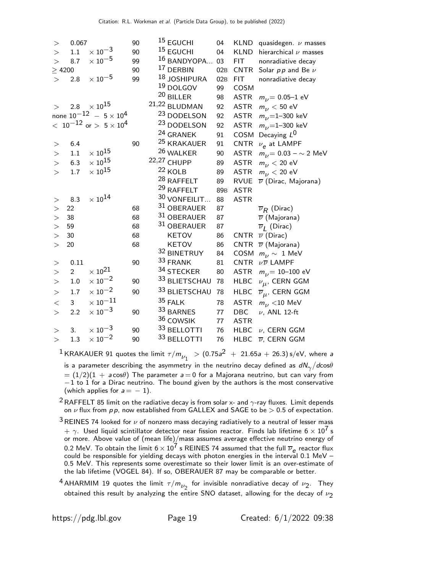| >           | 0.067          |                                     | 90 | <sup>15</sup> EGUCHI   | 04              | KLND        | quasidegen. $\nu$ masses           |
|-------------|----------------|-------------------------------------|----|------------------------|-----------------|-------------|------------------------------------|
| >           | $1.1\,$        | $\times\,10^{-3}$                   | 90 | <sup>15</sup> EGUCHI   | 04              | <b>KLND</b> | hierarchical $\nu$ masses          |
| $\geq$      | 8.7            | $\times$ $10^{-5}$                  | 99 | 16 BANDYOPA            | 03              | <b>FIT</b>  | nonradiative decay                 |
| $\geq$ 4200 |                |                                     | 90 | 17 DERBIN              | 02B             | <b>CNTR</b> | Solar $pp$ and Be $\nu$            |
| >           | 2.8            | $\times$ 10 $^{-5}$                 | 99 | 18 JOSHIPURA           | 02B             | <b>FIT</b>  | nonradiative decay                 |
|             |                |                                     |    | $^{19}$ DOLGOV         | 99              | COSM        |                                    |
|             |                |                                     |    | $20$ BILLER            | 98              | <b>ASTR</b> | $m_{\nu}$ = 0.05–1 eV              |
| $\gt$       | 2.8            | $\times$ 10 $^{15}$                 |    | 21,22 BLUDMAN          | 92              | <b>ASTR</b> | $m_{\nu}$ < 50 eV                  |
|             |                | none $10^{-12}$ - $5 \times 10^{4}$ |    | <sup>23</sup> DODELSON | 92              | <b>ASTR</b> | $m_{1}$ =1-300 keV                 |
|             |                | $<~10^{-12}$ or $>~5\times10^4$     |    | <sup>23</sup> DODELSON | 92              | <b>ASTR</b> | $m_{1}$ =1-300 keV                 |
|             |                |                                     |    | <sup>24</sup> GRANEK   | 91              | COSM        | Decaying $L^0$                     |
| >           | 6.4            |                                     | 90 | <sup>25</sup> KRAKAUER | 91              | <b>CNTR</b> | $\nu_e$ at LAMPF                   |
| $>$         | $1.1\,$        | $\times$ $10^{15}$                  |    | 26 WALKER              | 90              | <b>ASTR</b> | $m_{\nu}$ = 0.03 – $\sim$ 2 MeV    |
| >           | 6.3            | $\times$ $10^{15}$                  |    | 22,27 CHUPP            | 89              | <b>ASTR</b> | $m_{1/2}$ < 20 eV                  |
| >           | $1.7\,$        | $\times$ $10^{15}$                  |    | $22$ KOLB              | 89              | <b>ASTR</b> | $m_{\nu}$ < 20 eV                  |
|             |                |                                     |    | <sup>28</sup> RAFFELT  | 89              | <b>RVUE</b> | $\overline{\nu}$ (Dirac, Majorana) |
|             |                |                                     |    | 29 RAFFELT             | 89 <sub>B</sub> | <b>ASTR</b> |                                    |
| >           | 8.3            | $\times$ $10^{14}$                  |    | 30 VONFEILIT           | 88              | <b>ASTR</b> |                                    |
| >           | 22             |                                     | 68 | 31 OBERAUER            | 87              |             | $\overline{\nu}_R$ (Dirac)         |
| >           | 38             |                                     | 68 | 31 OBERAUER            | 87              |             | $\overline{\nu}$ (Majorana)        |
| >           | 59             |                                     | 68 | 31 OBERAUER            | 87              |             | $\overline{\nu}_I$ (Dirac)         |
| >           | 30             |                                     | 68 | <b>KETOV</b>           | 86              | <b>CNTR</b> | $\overline{\nu}$ (Dirac)           |
| $\geq$      | 20             |                                     | 68 | KETOV                  | 86              | <b>CNTR</b> | $\overline{\nu}$ (Majorana)        |
|             |                |                                     |    | 32 BINETRUY            | 84              | COSM        | $m_{\nu} \sim 1$ MeV               |
| $>$         | 0.11           |                                     | 90 | 33 FRANK               | 81              | <b>CNTR</b> | $\nu\overline{\nu}$ LAMPF          |
| >           | $\overline{2}$ | $\times$ $10^{21}$                  |    | 34 STECKER             | 80              | <b>ASTR</b> | $m_{\nu}$ = 10–100 eV              |
| >           | $1.0\,$        | $\times\,10^{-2}$                   | 90 | 33 BLIETSCHAU          | 78              | <b>HLBC</b> | $\nu_{\mu}$ , CERN GGM             |
| >           | 1.7            | $\times$ $10^{-2}$                  | 90 | 33 BLIETSCHAU          | 78              | <b>HLBC</b> | $\overline{\nu}_{\mu}$ , CERN GGM  |
| $<\,$       | 3              | $\times$ $10^{-11}$                 |    | 35 FALK                | 78              | <b>ASTR</b> | $m_{\nu}$ < 10 MeV                 |
| $\!>$       | 2.2            | $\times$ 10 <sup>-3</sup>           | 90 | 33 BARNES              | 77              | DBC         | $\nu$ , ANL 12-ft                  |
|             |                |                                     |    | 36 COWSIK              | 77              | <b>ASTR</b> |                                    |
| >           | 3.             | $\times$ $10^{-3}$                  | 90 | 33 BELLOTTI            | 76              | <b>HLBC</b> | $\nu$ , CERN GGM                   |
| $\geq$      | $1.3\,$        | $\times\,10^{-2}$                   | 90 | 33 BELLOTTI            | 76              | <b>HLBC</b> | $\overline{\nu}$ , CERN GGM        |
|             |                |                                     |    |                        |                 |             |                                    |

 $^{\displaystyle 1}$ KRAKAUER 91 quotes the limit  $\tau/m_{\nu_1}$   $\,$   $>$   $(0.75a^2$   $\,+\,$  21.65a  $+$  26.3) s/eV, where a is a parameter describing the asymmetry in the neutrino decay defined as  $dN_{\gamma}/d{\rm cos}\theta$  $= (1/2)(1 + a \cos\theta)$  The parameter  $a = 0$  for a Majorana neutrino, but can vary from  $-1$  to 1 for a Dirac neutrino. The bound given by the authors is the most conservative (which applies for  $a = -1$ ).

<sup>2</sup> RAFFELT 85 limit on the radiative decay is from solar x- and  $\gamma$ -ray fluxes. Limit depends on  $\nu$  flux from  $p$  p, now established from GALLEX and SAGE to be  $> 0.5$  of expectation.

 $3$  REINES 74 looked for  $\nu$  of nonzero mass decaying radiatively to a neutral of lesser mass  $+$   $\gamma$ . Used liquid scintillator detector near fission reactor. Finds lab lifetime 6  $\times$  10<sup>7</sup> s or more. Above value of (mean life)/mass assumes average effective neutrino energy of 0.2 MeV. To obtain the limit  $6 \times 10^7$  s REINES 74 assumed that the full  $\overline{\nu}_e$  reactor flux could be responsible for yielding decays with photon energies in the interval 0.1 MeV – 0.5 MeV. This represents some overestimate so their lower limit is an over-estimate of the lab lifetime (VOGEL 84). If so, OBERAUER 87 may be comparable or better.

<sup>4</sup> AHARMIM 19 quotes the limit  $\tau/m_{\nu_2}$  for invisible nonradiative decay of  $\nu_2$ . They obtained this result by analyzing the entire SNO dataset, allowing for the decay of  $\nu_2$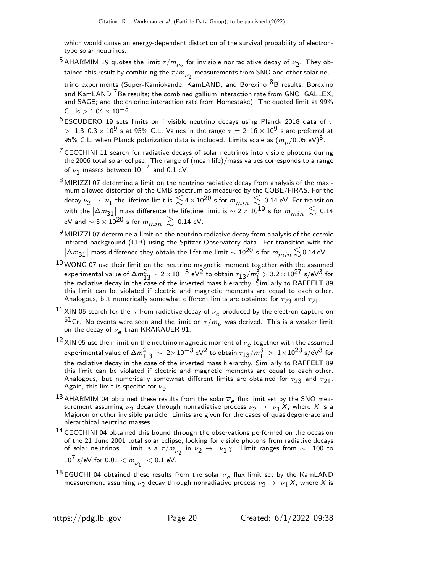which would cause an energy-dependent distortion of the survival probability of electrontype solar neutrinos.

- <sup>5</sup> AHARMIM 19 quotes the limit  $\tau/m_{\nu_2}$  for invisible nonradiative decay of  $\nu_2$ . They obtained this result by combining the  $\tau/m_{\nu_2}$  measurements from SNO and other solar neutrino experiments (Super-Kamiokande, KamLAND, and Borexino <sup>8</sup>B results; Borexino and KamLAND  $7B$ e results; the combined gallium interaction rate from GNO, GALLEX,
- and SAGE; and the chlorine interaction rate from Homestake). The quoted limit at 99% CL is  $> 1.04 \times 10^{-3}$ .
- $^6$ ESCUDERO 19 sets limits on invisible neutrino decays using Planck 2018 data of  $\tau$  $> 1.3-0.3 \times 10^9$  s at 95% C.L. Values in the range  $\tau = 2-16 \times 10^9$  s are preferred at 95% C.L. when Planck polarization data is included. Limits scale as  $(m_\nu/0.05\;\text{eV})^3$ .
- $7$  CECCHINI 11 search for radiative decays of solar neutrinos into visible photons during the 2006 total solar eclipse. The range of (mean life)/mass values corresponds to a range of  $\nu_1$  masses between  $10^{-4}$  and 0.1 eV.
- $8$  MIRIZZI 07 determine a limit on the neutrino radiative decay from analysis of the maximum allowed distortion of the CMB spectrum as measured by the COBE/FIRAS. For the decay  $\nu_2\to\,\nu_1$  the lifetime limit is  $\lesssim$  4  $\times$  10 $^{20}$  s for  $m_{min}\lesssim$  0.14 eV. For transition with the  $|\Delta m_{31}|$  mass difference the lifetime limit is  $\sim$  2  $\times$  10 $^{19}$  s for  $m_{min}~ \lesssim ~0.14$ eV and  $\sim 5 \times 10^{20}$  s for  $m_{min} \gtrsim 0.14$  eV.
- $9$  MIRIZZI 07 determine a limit on the neutrino radiative decay from analysis of the cosmic infrared background (CIB) using the Spitzer Observatory data. For transition with the  $|\Delta m_{31}|$  mass difference they obtain the lifetime limit  $\sim$  10 $^{20}$  s for  $m_{min}$   $\lesssim$  0.14 eV.
- $^{10}\rm{\,WONG}$  07 use their limit on the neutrino magnetic moment together with the assumed experimental value of  $\Delta m_{13}^2 \sim 2 \times 10^{-3}$  eV $^2$  to obtain  $\tau_{13}/m_{1}^3 > 3.2 \times 10^{27}$  s/eV $^3$  for the radiative decay in the case of the inverted mass hierarchy. Similarly to RAFFELT 89 this limit can be violated if electric and magnetic moments are equal to each other. Analogous, but numerically somewhat different limits are obtained for  $\tau_{23}$  and  $\tau_{21}$ .
- $^{11}$  XIN 05 search for the  $\gamma$  from radiative decay of  $\nu_e$  produced by the electron capture on <sup>51</sup>Cr. No events were seen and the limit on  $\tau/m_{\nu}$  was derived. This is a weaker limit on the decay of  $\nu_{\bm{e}}$  than KRAKAUER 91.
- 12 XIN 05 use their limit on the neutrino magnetic moment of  $\nu_e$  together with the assumed experimental value of  $\Delta m^2_{1,3} \, \sim \, 2 \times 10^{-3}$  eV $^2$  to obtain  $\tau_{13}/m^3_1 \, > \, 1 \times 10^{23}$  s/eV $^3$  for the radiative decay in the case of the inverted mass hierarchy. Similarly to RAFFELT 89 this limit can be violated if electric and magnetic moments are equal to each other. Analogous, but numerically somewhat different limits are obtained for  $\tau_{23}$  and  $\tau_{21}$ . Again, this limit is specific for  $\nu_{\bm{e}}$ .
- 13 AHARMIM 04 obtained these results from the solar  $\overline{\nu}_e$  flux limit set by the SNO measurement assuming  $\nu_2$  decay through nonradiative process  $\nu_2 \rightarrow \overline{\nu}_1 X$ , where  $X$  is a Majoron or other invisible particle. Limits are given for the cases of quasidegenerate and hierarchical neutrino masses.
- <sup>14</sup> CECCHINI 04 obtained this bound through the observations performed on the occasion of the 21 June 2001 total solar eclipse, looking for visible photons from radiative decays of solar neutrinos. Limit is a  $\tau/m_{\nu_2}$  in  $\nu_2 \rightarrow \ \nu_1 \gamma$ . Limit ranges from  $\sim$   $\,$  100 to  $\,$  $10^7$  s/eV for  $0.01 < m_{\nu_1} < 0.1$  eV.
- <sup>15</sup> EGUCHI 04 obtained these results from the solar  $\overline{\nu}_e$  flux limit set by the KamLAND measurement assuming  $\nu_2$  decay through nonradiative process  $\nu_2\to\ \overline\nu_1 X$ , where  $X$  is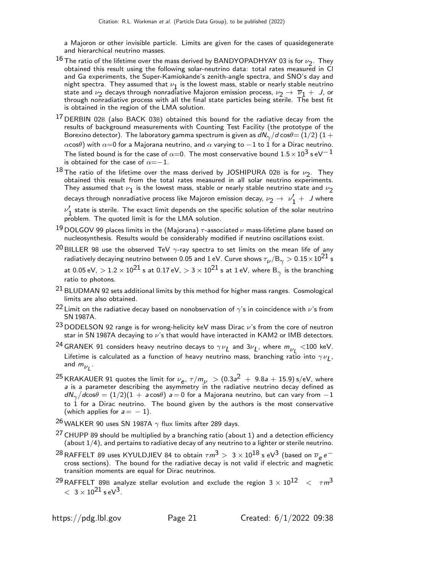a Majoron or other invisible particle. Limits are given for the cases of quasidegenerate and hierarchical neutrino masses.

- $^{16}$  The ratio of the lifetime over the mass derived by BANDYOPADHYAY 03 is for  $\nu_2$ . They obtained this result using the following solar-neutrino data: total rates measured in Cl and Ga experiments, the Super-Kamiokande's zenith-angle spectra, and SNO's day and night spectra. They assumed that  $\nu_1$  is the lowest mass, stable or nearly stable neutrino state and  $\nu_2$  decays through nonradiative Majoron emission process,  $\nu_2 \rightarrow \overline{\nu}_1 + J$ , or through nonradiative process with all the final state particles being sterile. The best fit is obtained in the region of the LMA solution.
- <sup>17</sup> DERBIN 02B (also BACK 03B) obtained this bound for the radiative decay from the results of background measurements with Counting Test Facility (the prototype of the Borexino detector). The laboratory gamma spectrum is given as  $d{\sf N}_{\gamma}/d\cos\theta{=}\left(1/2\right)\left(1+ \right)$ αcosθ) with  $\alpha=0$  for a Majorana neutrino, and  $\alpha$  varying to  $-1$  to 1 for a Dirac neutrino. The listed bound is for the case of  $\alpha{=}0$ . The most conservative bound  $1.5\times10^3$  s eV $^{-1}$ is obtained for the case of  $\alpha =-1$ .
- $^{18}$  The ratio of the lifetime over the mass derived by JOSHIPURA 02B is for  $\nu_2$ . They obtained this result from the total rates measured in all solar neutrino experiments. They assumed that  $\nu_{\bf 1}$  is the lowest mass, stable or nearly stable neutrino state and  $\nu_{\bf 2}$ decays through nonradiative process like Majoron emission decay,  $\nu_2 \rightarrow~\nu_1' +~J$  where

 $\nu'_{1}$  state is sterile. The exact limit depends on the specific solution of the solar neutrino problem. The quoted limit is for the LMA solution.

- $^{19}$  DOLGOV 99 places limits in the (Majorana)  $\tau$ -associated  $\nu$  mass-lifetime plane based on nucleosynthesis. Results would be considerably modified if neutrino oscillations exist.
- <sup>20</sup> BILLER 98 use the observed TeV  $\gamma$ -ray spectra to set limits on the mean life of any radiatively decaying neutrino between 0.05 and 1 eV. Curve shows  $\tau_{\nu}/\rm B_{\gamma} > 0.15\!\times\!10^{21}$  s at 0.05 eV,  $>1.2\times10^{21}$  s at 0.17 eV,  $>$  3  $\times$   $10^{21}$  s at 1 eV, where B $_{\gamma}$  is the branching ratio to photons.
- $21$  BLUDMAN 92 sets additional limits by this method for higher mass ranges. Cosmological limits are also obtained.
- <sup>22</sup> Limit on the radiative decay based on nonobservation of  $\gamma$ 's in coincidence with  $\nu$ 's from SN 1987A.
- $^{23}$  DODELSON 92 range is for wrong-helicity keV mass Dirac  $\nu$ 's from the core of neutron star in SN 1987A decaying to  $\nu$ 's that would have interacted in KAM2 or IMB detectors.
- $^{24}$ GRANEK 91 considers heavy neutrino decays to  $\gamma\nu_L$  and  $3\nu_L$ , where  $m_{\nu_L}^{} <$ 100 keV. Lifetime is calculated as a function of heavy neutrino mass, branching ratio into  $\gamma\nu_{\bm{L}}$ , and  $m_{\nu_L}$  .
- $^{25}$ KRAKAUER 91 quotes the limit for  $\nu_{\bm{e}},\ \tau/m_{\nu}~>(0.3a^2~+~9.8a+15.9)$  s/eV, where a is a parameter describing the asymmetry in the radiative neutrino decay defined as  $\left. dN_{\gamma}/d$ cos $\theta = (1/2)(1 \, + \, a$ cos $\theta)$   $a \! = \! 0$  for a Majorana neutrino, but can vary from  $-1$ to  $1$  for a Dirac neutrino. The bound given by the authors is the most conservative (which applies for  $a = -1$ ).
- 26 WALKER 90 uses SN 1987A  $\gamma$  flux limits after 289 days.
- $27$  CHUPP 89 should be multiplied by a branching ratio (about 1) and a detection efficiency (about 1/4), and pertains to radiative decay of any neutrino to a lighter or sterile neutrino.
- $^{28}$ RAFFELT 89 uses KYULDJIEV 84 to obtain  $\tau m^3 > ~3 \times 10^{18}$  s eV $^3$  (based on  $\overline{\nu}_e \, e^$ cross sections). The bound for the radiative decay is not valid if electric and magnetic transition moments are equal for Dirac neutrinos.
- <sup>29</sup> RAFFELT 89B analyze stellar evolution and exclude the region  $3 \times 10^{12} \leq \tau m^3$  $< 3 \times 10^{21}$  s eV<sup>3</sup>.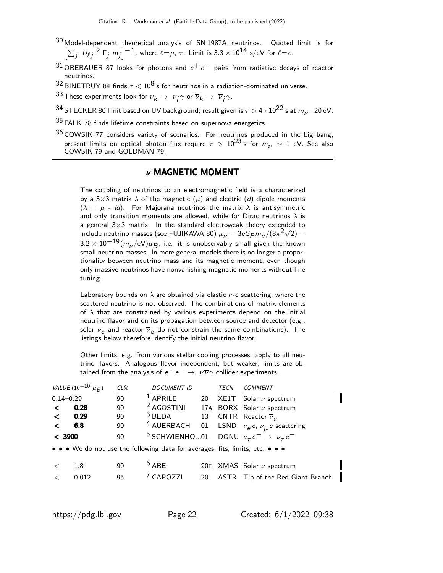- 30 Model-dependent theoretical analysis of SN 1987A neutrinos. Quoted limit is for  $\left[\sum_j|\mathsf{U}_{\ell j}|^2\; \mathsf{\Gamma}_j\; \mathsf{m}_j\right]^{-1}$ , where  $\ell\!=\!\mu$ ,  $\tau$ . Limit is 3.3  $\times$  10<sup>14</sup> s/eV for  $\ell\!=\!\mathsf{e}.$
- 31 OBERAUER 87 looks for photons and  $e^+e^-$  pairs from radiative decays of reactor neutrinos.
- 32 BINETRUY 84 finds  $\tau < 10^8$  s for neutrinos in a radiation-dominated universe.
- $^{33}$  These experiments look for  $\nu_{\bm k} \rightarrow \ \nu_{\bm j} \gamma$  or  $\overline{\nu}_{\bm k} \rightarrow \ \overline{\nu}_{\bm j} \gamma.$
- 34 STECKER 80 limit based on UV background; result given is  $\tau > 4 \times 10^{22}$  s at  $m_{\nu}$  = 20 eV.
- $35$  FALK 78 finds lifetime constraints based on supernova energetics.
- $36$  COWSIK 77 considers variety of scenarios. For neutrinos produced in the big bang, present limits on optical photon flux require  $\tau > 10^{23}$  s for  $m_{\nu} \sim 1$  eV. See also COWSIK 79 and GOLDMAN 79.

#### ν MAGNETIC MOMENT

The coupling of neutrinos to an electromagnetic field is a characterized by a 3×3 matrix  $\lambda$  of the magnetic  $(\mu)$  and electric (d) dipole moments  $(\lambda = \mu - id)$ . For Majorana neutrinos the matrix  $\lambda$  is antisymmetric and only transition moments are allowed, while for Dirac neutrinos  $\lambda$  is a general  $3\times3$  matrix. In the standard electroweak theory extended to include neutrino masses (see FUJIKAWA 80)  $\mu_{\nu} = 3eG_F m_{\nu}/(8\pi^2\sqrt{2}) =$  $3.2 \times 10^{-19} (m_\nu / \text{eV}) \mu_B^{}$ , i.e. it is unobservably small given the known small neutrino masses. In more general models there is no longer a proportionality between neutrino mass and its magnetic moment, even though only massive neutrinos have nonvanishing magnetic moments without fine tuning.

Laboratory bounds on  $\lambda$  are obtained via elastic  $\nu$ -e scattering, where the scattered neutrino is not observed. The combinations of matrix elements of  $\lambda$  that are constrained by various experiments depend on the initial neutrino flavor and on its propagation between source and detector (e.g., solar  $\nu_e$  and reactor  $\overline{\nu}_e$  do not constrain the same combinations). The listings below therefore identify the initial neutrino flavor.

Other limits, e.g. from various stellar cooling processes, apply to all neutrino flavors. Analogous flavor independent, but weaker, limits are obtained from the analysis of  $e^+e^- \rightarrow \nu \overline{\nu} \gamma$  collider experiments.

|        | VALUE $(10^{-10} \mu_B)$ | $CL\%$ | <b>DOCUMENT ID</b>                                                            |    | TECN | <b>COMMENT</b>                                                          |
|--------|--------------------------|--------|-------------------------------------------------------------------------------|----|------|-------------------------------------------------------------------------|
|        | $0.14 - 0.29$            | 90     | $1$ APRILE                                                                    | 20 |      | $XE1T$ Solar $\nu$ spectrum                                             |
| ≺      | 0.28                     | 90     | <sup>2</sup> AGOSTINI                                                         |    |      | 17A BORX Solar $\nu$ spectrum                                           |
| $\lt$  | 0.29                     | 90     | $3$ BEDA                                                                      | 13 |      | CNTR Reactor $\overline{\nu}_e$                                         |
| $\lt$  | 6.8                      | 90     | <sup>4</sup> AUERBACH                                                         |    |      | 01 LSND $\nu_e e, \nu_\mu e$ scattering                                 |
| < 3900 |                          | 90     |                                                                               |    |      | <sup>5</sup> SCHWIENHO01 DONU $\nu_{\tau}e^- \rightarrow \nu_{\tau}e^-$ |
|        |                          |        | • • • We do not use the following data for averages, fits, limits, etc. • • • |    |      |                                                                         |
|        | 1.8                      | 90     | $6$ ABE                                                                       |    |      | 20E $XMAS$ Solar $\nu$ spectrum                                         |
|        | 0.012                    | 95     | <sup>7</sup> CAPOZZI                                                          | 20 |      | ASTR Tip of the Red-Giant Branch                                        |
|        |                          |        |                                                                               |    |      |                                                                         |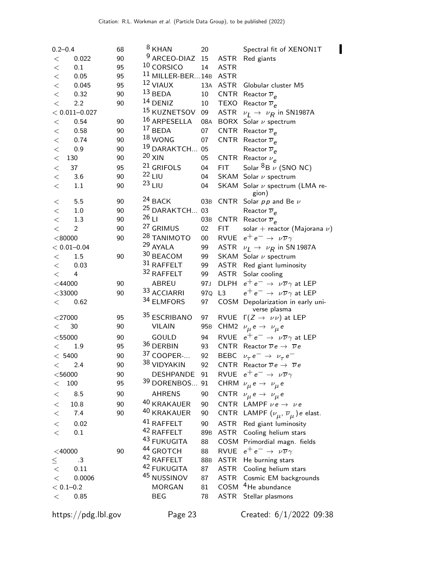| $0.2 - 0.4$             | 68 |         | $8$ KHAN                  | 20              |                  | Spectral fit of XENON1T                                    |
|-------------------------|----|---------|---------------------------|-----------------|------------------|------------------------------------------------------------|
| 0.022<br>$\,<\,$        | 90 |         | <sup>9</sup> ARCEO-DIAZ   | 15              | <b>ASTR</b>      | Red giants                                                 |
| 0.1<br>$<\,$            | 95 |         | <sup>10</sup> CORSICO     | 14              | <b>ASTR</b>      |                                                            |
| 0.05<br>$\,<$           | 95 |         | $11$ MILLER-BER 14B       |                 | <b>ASTR</b>      |                                                            |
| 0.045<br>$\,<$          | 95 |         | <sup>12</sup> VIAUX       | 13A             | <b>ASTR</b>      | Globular cluster M5                                        |
| $\lt$<br>0.32           | 90 |         | $13$ BEDA                 | 10              |                  | CNTR Reactor $\overline{\nu}_e$                            |
| $\lt$<br>2.2            | 90 |         | <sup>14</sup> DENIZ       | 10              |                  | TEXO Reactor $\overline{\nu}_e$                            |
| $< 0.011 - 0.027$       |    |         | <sup>15</sup> KUZNETSOV   | 09              |                  | ASTR $\nu_L \rightarrow \nu_R$ in SN1987A                  |
| 0.54<br>$<\,$           | 90 |         | 16 ARPESELLA              | 08A             |                  | BORX Solar $\nu$ spectrum                                  |
| 0.58<br>$\,<$           | 90 |         | $17$ BEDA                 | 07              |                  | CNTR Reactor $\overline{\nu}_e$                            |
| 0.74<br>$\,<$           | 90 |         | $18$ WONG                 | 07              | <b>CNTR</b>      | Reactor $\overline{\nu}_e$                                 |
| 0.9<br>$\,<$            | 90 |         | <sup>19</sup> DARAKTCH 05 |                 |                  | Reactor $\overline{\nu}_e$                                 |
| $<\,$<br>130            | 90 |         | $20 \times IN$            | 05              | <b>CNTR</b>      | Reactor $\nu_e$                                            |
| 37<br>$\,<$             | 95 |         | <sup>21</sup> GRIFOLS     | 04              | <b>FIT</b>       | Solar ${}^{8}B \nu$ (SNO NC)                               |
| $\lt$<br>3.6            | 90 |         | $22$ LIU                  | 04              |                  | SKAM Solar $\nu$ spectrum                                  |
| 1.1<br>$\,<\,$          | 90 |         | $23$ LIU                  | 04              |                  | SKAM Solar v spectrum (LMA re-<br>gion)                    |
| 5.5<br>$\,<\,$          | 90 |         | <sup>24</sup> BACK        | 03B             | CNTR             | Solar $pp$ and Be $\nu$                                    |
| 1.0<br>$<\,$            | 90 |         | <sup>25</sup> DARAKTCH 03 |                 |                  | Reactor $\overline{\nu}_e$                                 |
| 1.3<br>$<\,$            | 90 | $26$ LI |                           | 03B             | CNTR             | Reactor $\overline{\nu}_e$                                 |
| $\overline{c}$<br>$\lt$ | 90 |         | <sup>27</sup> GRIMUS      | 02              | <b>FIT</b>       | solar + reactor (Majorana $\nu$ )                          |
| < 80000                 | 90 |         | <sup>28</sup> TANIMOTO    | $00\,$          |                  | RVUE $e^+e^- \rightarrow \nu \overline{\nu} \gamma$        |
| $< 0.01 - 0.04$         |    |         | 29 AYALA                  | 99              |                  | ASTR $\nu_I \rightarrow \nu_R$ in SN 1987A                 |
| 1.5<br>$\,<\,$          | 90 |         | 30 BEACOM                 | 99              |                  | SKAM Solar $\nu$ spectrum                                  |
| 0.03<br>$\,<\,$         |    |         | 31 RAFFELT                | 99              |                  | ASTR Red giant luminosity                                  |
| 4<br>$\lt$              |    |         | 32 RAFFELT                | 99              | ASTR             | Solar cooling                                              |
| $<$ 44000               | 90 |         | ABREU                     | 97J             | <b>DLPH</b>      | $e^+e^- \rightarrow \nu \overline{\nu} \gamma$ at LEP      |
| $<$ 33000               | 90 |         | 33 ACCIARRI               | 97Q             | L3               | $e^+e^- \rightarrow \nu \overline{\nu} \gamma$ at LEP      |
| 0.62<br>$\lt$           |    |         | 34 ELMFORS                | 97              | COSM             | Depolarization in early uni-<br>verse plasma               |
| $<$ 27000               | 95 |         | 35 ESCRIBANO              | 97              | <b>RVUE</b>      | $\Gamma(Z\to\nu\nu)$ at LEP                                |
| 30<br>$\lt$             | 90 |         | <b>VILAIN</b>             | 95 <sub>B</sub> | CHM <sub>2</sub> | $\nu_{\mu} e \rightarrow \nu_{\mu} e$                      |
| $<$ 55000               | 90 |         | GOULD                     | 94              |                  | RVUE $e^+e^- \rightarrow \nu \overline{\nu} \gamma$ at LEP |
| 1.9<br>$\lt$            | 95 |         | 36 DERBIN                 | 93              |                  | CNTR Reactor $\overline{\nu}e \rightarrow \overline{\nu}e$ |
| < 5400                  | 90 |         | 37 COOPER-                | 92              |                  | BEBC $\nu_{\tau} e^- \rightarrow \nu_{\tau} e^-$           |
| 2.4<br>$\lt$            | 90 |         | 38 VIDYAKIN               | 92              |                  | CNTR Reactor $\overline{\nu}e \rightarrow \overline{\nu}e$ |
| $<$ 56000               | 90 |         | <b>DESHPANDE</b>          | 91              |                  | RVUE $e^+e^- \rightarrow \nu \overline{\nu} \gamma$        |
| 100<br><                | 95 |         | 39 DORENBOS               | 91              |                  | CHRM $\nu_{\mu} e \rightarrow \nu_{\mu} e$                 |
| 8.5<br><                | 90 |         | <b>AHRENS</b>             | 90              |                  | CNTR $\nu_{\mu} e \rightarrow \nu_{\mu} e$                 |
| 10.8                    | 90 |         | 40 KRAKAUER               | 90              |                  | CNTR LAMPF $\nu e \rightarrow \nu e$                       |
| $<\,$<br>$<\,$<br>7.4   | 90 |         | 40 KRAKAUER               | 90              |                  |                                                            |
|                         |    |         |                           |                 |                  | CNTR LAMPF $(\nu_{\mu}, \overline{\nu}_{\mu})$ e elast.    |
| 0.02<br>$\,<$           |    |         | 41 RAFFELT                | 90              | <b>ASTR</b>      | Red giant luminosity                                       |
| $\lt$<br>0.1            |    |         | 42 RAFFELT                | 89 <sub>B</sub> | ASTR             | Cooling helium stars                                       |
|                         |    |         | 43 FUKUGITA               | 88              |                  | COSM Primordial magn. fields                               |
| $<$ 40000               | 90 |         | <sup>44</sup> GROTCH      | 88              | <b>RVUE</b>      | $e^+e^- \rightarrow \nu \overline{\nu} \gamma$             |
| .3<br>$\leq$            |    |         | 42 RAFFELT                | 88B             |                  | ASTR He burning stars                                      |
| 0.11<br>$\,<\,$         |    |         | 42 FUKUGITA               | 87              | <b>ASTR</b>      | Cooling helium stars                                       |
| 0.0006<br>$\,<\,$       |    |         | 45 NUSSINOV               | 87              | <b>ASTR</b>      | Cosmic EM backgrounds                                      |
| $< 0.1 - 0.2$           |    |         | <b>MORGAN</b>             | 81              | COSM             | <sup>4</sup> He abundance                                  |
| 0.85<br>$<\,$           |    |         | BEG                       | 78              | <b>ASTR</b>      | Stellar plasmons                                           |
|                         |    |         |                           |                 |                  |                                                            |

https://pdg.lbl.gov Page 23 Created: 6/1/2022 09:38

 $\blacksquare$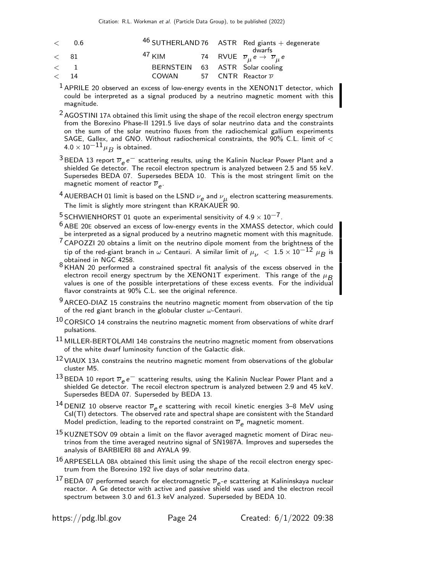| $<$ 0.6 |                                                                                       |  | $46$ SUTHERLAND 76 ASTR Red giants + degenerate |
|---------|---------------------------------------------------------------------------------------|--|-------------------------------------------------|
| $<$ 81  | <sup>47</sup> KIM 74 RVUE $\overline{\nu}_{\mu} e \rightarrow \overline{\nu}_{\mu} e$ |  | dwarfs                                          |
| $\lt$ 1 | BERNSTEIN 63 ASTR Solar cooling                                                       |  |                                                 |
| $<$ 14  | COWAN 57 CNTR Reactor $\overline{\nu}$                                                |  |                                                 |

- $1$  APRILE 20 observed an excess of low-energy events in the XENON1T detector, which could be interpreted as a signal produced by a neutrino magnetic moment with this magnitude.
- $2$  AGOSTINI 17A obtained this limit using the shape of the recoil electron energy spectrum from the Borexino Phase-II 1291.5 live days of solar neutrino data and the constraints on the sum of the solar neutrino fluxes from the radiochemical gallium experiments SAGE, Gallex, and GNO. Without radiochemical constraints, the  $90\%$  C.L. limit of  $<$  $4.0 \times 10^{-11}$  µ<sub>B</sub> is obtained.
- <sup>3</sup> BEDA 13 report  $\overline{\nu}_e e^-$  scattering results, using the Kalinin Nuclear Power Plant and a shielded Ge detector. The recoil electron spectrum is analyzed between 2.5 and 55 keV. Supersedes BEDA 07. Supersedes BEDA 10. This is the most stringent limit on the magnetic moment of reactor  $\overline{\nu}_{\bm{e}}.$
- $^4$  AUERBACH 01 limit is based on the LSND  $\nu_{\bm{e}}$  and  $\nu_{\bm{\mu}}$  electron scattering measurements. The limit is slightly more stringent than  $KRAKAUE\ddot{R}$  90.
- <sup>5</sup> SCHWIENHORST 01 quote an experimental sensitivity of  $4.9 \times 10^{-7}$ .
- $6$  ABE 20E observed an excess of low-energy events in the XMASS detector, which could be interpreted as a signal produced by a neutrino magnetic moment with this magnitude.
- $7$  CAPOZZI 20 obtains a limit on the neutrino dipole moment from the brightness of the tip of the red-giant branch in  $\omega$  Centauri. A similar limit of  $\mu_{11} < 1.5 \times 10^{-12}$   $\mu_{B}$  is obtained in NGC 4258.
- 8 KHAN 20 performed a constrained spectral fit analysis of the excess observed in the electron recoil energy spectrum by the XENON1T experiment. This range of the  $\mu_B$ values is one of the possible interpretations of these excess events. For the individual flavor constraints at 90% C.L. see the original reference.
- $9$  ARCEO-DIAZ 15 constrains the neutrino magnetic moment from observation of the tip of the red giant branch in the globular cluster  $\omega$ -Centauri.
- $10$  CORSICO 14 constrains the neutrino magnetic moment from observations of white drarf pulsations.
- <sup>11</sup> MILLER-BERTOLAMI 14B constrains the neutrino magnetic moment from observations of the white dwarf luminosity function of the Galactic disk.
- $12$  VIAUX 13A constrains the neutrino magnetic moment from observations of the globular cluster M5.
- <sup>13</sup> BEDA 10 report  $\overline{\nu}_e e^-$  scattering results, using the Kalinin Nuclear Power Plant and a shielded Ge detector. The recoil electron spectrum is analyzed between 2.9 and 45 keV. Supersedes BEDA 07. Superseded by BEDA 13.
- <sup>14</sup> DENIZ 10 observe reactor  $\overline{\nu}_e$  e scattering with recoil kinetic energies 3–8 MeV using CsI(Tl) detectors. The observed rate and spectral shape are consistent with the Standard Model prediction, leading to the reported constraint on  $\overline{\nu}_e$  magnetic moment.
- 15 KUZNETSOV 09 obtain a limit on the flavor averaged magnetic moment of Dirac neutrinos from the time averaged neutrino signal of SN1987A. Improves and supersedes the analysis of BARBIERI 88 and AYALA 99.
- $16$  ARPESELLA 08A obtained this limit using the shape of the recoil electron energy spectrum from the Borexino 192 live days of solar neutrino data.
- $^{17}$  BEDA 07 performed search for electromagnetic  $\overline{v}_{e}$ -e scattering at Kalininskaya nuclear reactor. A Ge detector with active and passive shield was used and the electron recoil spectrum between 3.0 and 61.3 keV analyzed. Superseded by BEDA 10.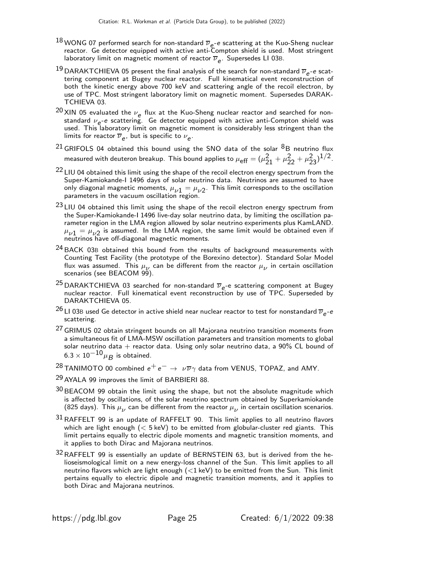- $^{18}$ WONG 07 performed search for non-standard  $\overline{\nu}_{e^-}$ e scattering at the Kuo-Sheng nuclear reactor. Ge detector equipped with active anti-Compton shield is used. Most stringent laboratory limit on magnetic moment of reactor  $\overline{\nu}_e.$  Supersedes LI 03B.
- $^{19}$  DARAKTCHIEVA 05 present the final analysis of the search for non-standard  $\overline{\nu}_e$ -e scattering component at Bugey nuclear reactor. Full kinematical event reconstruction of both the kinetic energy above 700 keV and scattering angle of the recoil electron, by use of TPC. Most stringent laboratory limit on magnetic moment. Supersedes DARAK-TCHIEVA 03.
- $^{20}$  XIN 05 evaluated the  $\nu_e$  flux at the Kuo-Sheng nuclear reactor and searched for nonstandard  $\nu_e$ -e scattering. Ge detector equipped with active anti-Compton shield was used. This laboratory limit on magnetic moment is considerably less stringent than the limits for reactor  $\overline{\nu}_e$ , but is specific to  $\nu_e.$
- $^{21}$  GRIFOLS 04 obtained this bound using the SNO data of the solar  $^8$ B neutrino flux measured with deuteron breakup. This bound applies to  $\mu_{\text{eff}} = (\mu_{21}^2 + \mu_{22}^2 + \mu_{23}^2)^{1/2}$ .
- $22$  LIU 04 obtained this limit using the shape of the recoil electron energy spectrum from the Super-Kamiokande-I 1496 days of solar neutrino data. Neutrinos are assumed to have only diagonal magnetic moments,  $\mu_{\nu 1} = \mu_{\nu 2}$ . This limit corresponds to the oscillation parameters in the vacuum oscillation region.
- 23 LIU 04 obtained this limit using the shape of the recoil electron energy spectrum from the Super-Kamiokande-I 1496 live-day solar neutrino data, by limiting the oscillation parameter region in the LMA region allowed by solar neutrino experiments plus KamLAND.  $\mu_{\nu 1} = \mu_{\nu 2}$  is assumed. In the LMA region, the same limit would be obtained even if neutrinos have off-diagonal magnetic moments.
- <sup>24</sup> BACK 03B obtained this bound from the results of background measurements with Counting Test Facility (the prototype of the Borexino detector). Standard Solar Model flux was assumed. This  $\mu_{\nu}$  can be different from the reactor  $\mu_{\nu}$  in certain oscillation scenarios (see BEACOM 99).
- <sup>25</sup> DARAKTCHIEVA 03 searched for non-standard  $\overline{\nu}_e$ -e scattering component at Bugey nuclear reactor. Full kinematical event reconstruction by use of TPC. Superseded by DARAKTCHIEVA 05.
- $^{26}$ LI 03B used Ge detector in active shield near nuclear reactor to test for nonstandard  $\overline{v}_{e}$ - $e$ scattering.
- 27 GRIMUS 02 obtain stringent bounds on all Majorana neutrino transition moments from a simultaneous fit of LMA-MSW oscillation parameters and transition moments to global solar neutrino data  $+$  reactor data. Using only solar neutrino data, a 90% CL bound of  $6.3 \times 10^{-10} \mu_B$  is obtained.
- <sup>28</sup> TANIMOTO 00 combined  $e^+e^- \rightarrow \nu \overline{\nu} \gamma$  data from VENUS, TOPAZ, and AMY.
- <sup>29</sup> AYALA 99 improves the limit of BARBIERI 88.
- $30$  BEACOM 99 obtain the limit using the shape, but not the absolute magnitude which is affected by oscillations, of the solar neutrino spectrum obtained by Superkamiokande (825 days). This  $\mu_{\nu}$  can be different from the reactor  $\mu_{\nu}$  in certain oscillation scenarios.
- 31RAFFELT 99 is an update of RAFFELT 90. This limit applies to all neutrino flavors which are light enough  $\ll$  5 keV) to be emitted from globular-cluster red giants. This limit pertains equally to electric dipole moments and magnetic transition moments, and it applies to both Dirac and Majorana neutrinos.
- $32$  RAFFELT 99 is essentially an update of BERNSTEIN 63, but is derived from the helioseismological limit on a new energy-loss channel of the Sun. This limit applies to all neutrino flavors which are light enough  $(<1 \text{ keV})$  to be emitted from the Sun. This limit pertains equally to electric dipole and magnetic transition moments, and it applies to both Dirac and Majorana neutrinos.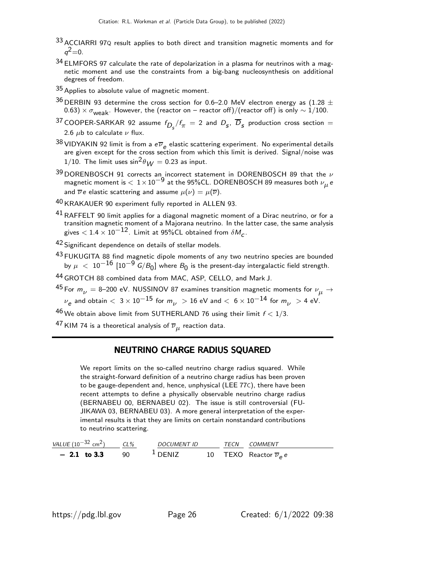- 33 ACCIARRI 97Q result applies to both direct and transition magnetic moments and for  $q^2 = 0$ .
- $34$  ELMFORS 97 calculate the rate of depolarization in a plasma for neutrinos with a magnetic moment and use the constraints from a big-bang nucleosynthesis on additional degrees of freedom.
- 35 Applies to absolute value of magnetic moment.
- $^{36}$  DERBIN 93 determine the cross section for 0.6–2.0 MeV electron energy as (1.28  $\pm$ 0.63)  $\times \sigma_{weak}$ . However, the (reactor on – reactor off)/(reactor off) is only  $\sim 1/100$ .
- $^{37}$  COOPER-SARKAR 92 assume  $f_{D_S}/f_\pi$   $=$  2 and  $D_S^{},$   $\overline{D}_S^{}$  production cross section  $=$ 2.6  $\mu$ b to calculate  $\nu$  flux.
- 38 VIDYAKIN 92 limit is from a  $e\overline{\nu}_e$  elastic scattering experiment. No experimental details are given except for the cross section from which this limit is derived. Signal/noise was 1/10. The limit uses  $\sin^2\theta_{\rm M}$  = 0.23 as input.
- $39$  DORENBOSCH 91 corrects an incorrect statement in DORENBOSCH 89 that the  $\nu$ magnetic moment is  $< 1 \times 10^{-9}$  at the 95%CL. DORENBOSCH 89 measures both  $\nu_{\mu}$  e and  $\overline{\nu} e$  elastic scattering and assume  $\mu(\nu) = \mu(\overline{\nu})$ .
- 40 KRAKAUER 90 experiment fully reported in ALLEN 93.
- $41$  RAFFELT 90 limit applies for a diagonal magnetic moment of a Dirac neutrino, or for a transition magnetic moment of a Majorana neutrino. In the latter case, the same analysis gives  $<$  1.4  $\times$  10 $^{-12}$ . Limit at 95%CL obtained from  $\delta M_{_{\rm C}}$ .
- 42 Significant dependence on details of stellar models.
- 43 FUKUGITA 88 find magnetic dipole moments of any two neutrino species are bounded by  $\mu~<~10^{-16}~[10^{-9}~\text{G}/\text{B}_0]$  where  $\text{B}_0$  is the present-day intergalactic field strength.
- 44 GROTCH 88 combined data from MAC, ASP, CELLO, and Mark J.
- <sup>45</sup> For  $m_{\nu}$  = 8–200 eV. NUSSINOV 87 examines transition magnetic moments for  $\nu_{\mu} \rightarrow$  $\nu_{\mathsf{e}}$  and obtain  $<\,3\,{\times}\,10^{-15}$  for  $m_{\nu}\,>\,$  16 eV and  $<\,6\,{\times}\,10^{-14}$  for  $m_{\nu}\,>\,$  4 eV.
- 46 We obtain above limit from SUTHERLAND 76 using their limit  $f < 1/3$ .
- $^{47}$  KIM 74 is a theoretical analysis of  $\overline{\nu}_{\mu}$  reaction data.

#### NEUTRINO CHARGE RADIUS SQUARED

We report limits on the so-called neutrino charge radius squared. While the straight-forward definition of a neutrino charge radius has been proven to be gauge-dependent and, hence, unphysical (LEE 77C), there have been recent attempts to define a physically observable neutrino charge radius (BERNABEU 00, BERNABEU 02). The issue is still controversial (FU-JIKAWA 03, BERNABEU 03). A more general interpretation of the experimental results is that they are limits on certain nonstandard contributions to neutrino scattering.

| VALUE $(10^{-32}$ cm <sup>2</sup> ) | $CL\%$ | <b>DOCUMENT ID</b> | <b>TFCN</b> | COMMENT                              |
|-------------------------------------|--------|--------------------|-------------|--------------------------------------|
| $-2.1$ to 3.3                       | 90.    | $\perp$ DENIZ      |             | 10 TEXO Reactor $\overline{\nu}_e e$ |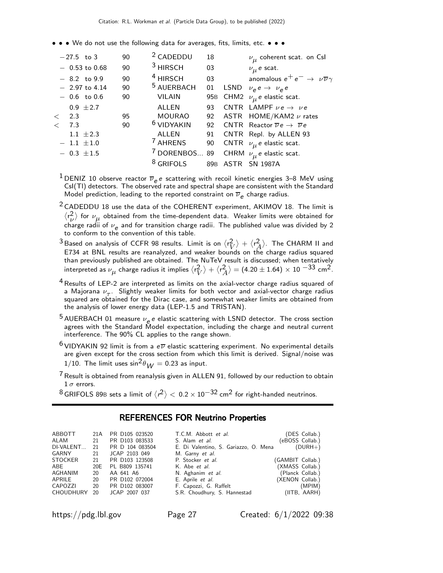• • • We do not use the following data for averages, fits, limits, etc. • • •

|       | $-27.5$ to 3 |                 | 90 | <sup>2</sup> CADEDDU     | 18 | $\nu_{\mu}$ coherent scat. on Csl                          |
|-------|--------------|-----------------|----|--------------------------|----|------------------------------------------------------------|
|       |              | $-0.53$ to 0.68 | 90 | <sup>3</sup> HIRSCH      | 03 | $\nu_{\mu}$ e scat.                                        |
|       |              | $-8.2$ to 9.9   | 90 | <sup>4</sup> HIRSCH      | 03 | anomalous $e^+e^- \rightarrow \nu \overline{\nu} \gamma$   |
|       |              | $-2.97$ to 4.14 | 90 | <sup>5</sup> AUERBACH    | 01 | LSND $\nu_e e \rightarrow \nu_e e$                         |
|       |              | $-0.6$ to 0.6   | 90 | <b>VILAIN</b>            |    | 95B CHM2 $\nu_{\mu}$ e elastic scat.                       |
|       |              | $0.9 \pm 2.7$   |    | ALLEN                    | 93 | CNTR LAMPF $\nu e \rightarrow \nu e$                       |
| $\lt$ | 2.3          |                 | 95 | <b>MOURAO</b>            | 92 | ASTR $HOME/KAM2 \nu$ rates                                 |
| $\lt$ | 7.3          |                 | 90 | <sup>6</sup> VIDYAKIN    | 92 | CNTR Reactor $\overline{\nu}e \rightarrow \overline{\nu}e$ |
|       |              | $1.1 \pm 2.3$   |    | <b>ALLEN</b>             |    | 91 CNTR Repl. by ALLEN 93                                  |
|       |              | $-1.1 \pm 1.0$  |    | <sup>7</sup> AHRENS      | 90 | CNTR $\nu_{\mu}$ e elastic scat.                           |
|       |              | $-0.3 \pm 1.5$  |    | <sup>7</sup> DORENBOS 89 |    | CHRM $\nu_{\mu}$ e elastic scat.                           |
|       |              |                 |    | <sup>8</sup> GRIFOLS     |    | 89B ASTR SN 1987A                                          |
|       |              |                 |    |                          |    |                                                            |

<sup>1</sup> DENIZ 10 observe reactor  $\overline{\nu}_e e$  scattering with recoil kinetic energies 3–8 MeV using CsI(Tl) detectors. The observed rate and spectral shape are consistent with the Standard Model prediction, leading to the reported constraint on  $\overline{\nu}_e$  charge radius.

 $2$  CADEDDU 18 use the data of the COHERENT experiment, AKIMOV 18. The limit is  $\langle r_{\nu}^2$  $\frac{2}{\nu}$  for  $\nu_{\mu}$  obtained from the time-dependent data. Weaker limits were obtained for charge radii of  $\nu_e$  and for transition charge radii. The published value was divided by 2 to conform to the convention of this table.

 $^3$ Based on analysis of CCFR 98 results. Limit is on  $\langle r_\mathrm{L}^2 \rangle$  $\langle r \rangle + \langle r \rangle^2$  $\langle A \rangle$ . The CHARM II and E734 at BNL results are reanalyzed, and weaker bounds on the charge radius squared than previously published are obtained. The NuTeV result is discussed; when tentatively interpreted as  $\nu_{\boldsymbol{\mu}}$  charge radius it implies  $\langle r_{\tilde{V}}^2 \rangle$  $\binom{2}{V} + \left\langle \mathsf{r}^2 \right\rangle$  $\ket{\frac{2}{A}} = (4.20 \pm 1.64) \times 10^{-33}$  cm<sup>2</sup>.

<sup>4</sup> Results of LEP-2 are interpreted as limits on the axial-vector charge radius squared of a Majorana  $\nu_{\tau}$ . Slightly weaker limits for both vector and axial-vector charge radius squared are obtained for the Dirac case, and somewhat weaker limits are obtained from the analysis of lower energy data (LEP-1.5 and TRISTAN).

<sup>5</sup> AUERBACH 01 measure  $\nu_e e$  e elastic scattering with LSND detector. The cross section agrees with the Standard Model expectation, including the charge and neutral current interference. The 90% CL applies to the range shown.

- <sup>6</sup> VIDYAKIN 92 limit is from a  $e\overline{\nu}$  elastic scattering experiment. No experimental details are given except for the cross section from which this limit is derived. Signal/noise was 1/10. The limit uses  $\sin^2 \theta_W = 0.23$  as input.
- 7Result is obtained from reanalysis given in ALLEN 91, followed by our reduction to obtain  $1 \sigma$  errors.

 $^8$ GRIFOLS 89B sets a limit of  $\langle r^2 \rangle < 0.2 \times 10^{-32}$  cm $^2$  for right-handed neutrinos.

#### REFERENCES FOR Neutrino Properties

| ABBOTT           |     | 21A PR D105 023520 | T.C.M. Abbott et al.                  | (DES Collab.)    |
|------------------|-----|--------------------|---------------------------------------|------------------|
| ALAM             | 21  | PR D103 083533     | S. Alam et al.                        | (eBOSS Collab.)  |
| DI-VALENT        | 21  | PR D 104 083504    | E. Di Valentino, S. Gariazzo, O. Mena | $(DURH+)$        |
| GARNY            | 21  | JCAP 2103 049      | M. Garny et al.                       |                  |
| <b>STOCKER</b>   | 21  | PR D103 123508     | P. Stocker et al.                     | (GAMBIT Collab.) |
| ABE              | 20E | PL B809 135741     | K. Abe <i>et al.</i>                  | (XMASS Collab.)  |
| <b>AGHANIM</b>   | 20  | AA 641 A6          | N. Aghanim et al.                     | (Planck Collab.) |
| APRILE           | 20  | PR D102 072004     | E. Aprile <i>et al.</i>               | (XENON Collab.)  |
| CAPOZZI          | 20  | PR D102 083007     | F. Capozzi, G. Raffelt                | (MPIM)           |
| <b>CHOUDHURY</b> | -20 | JCAP 2007 037      | S.R. Choudhury, S. Hannestad          | (IITB, AARH)     |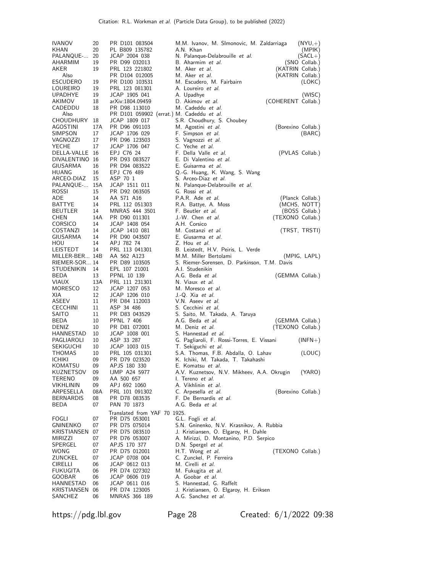| <b>IVANOV</b><br>KHAN<br>PALANQUE-<br>AHARMIM<br>AKER<br>Also<br><b>ESCUDERO</b><br>LOUREIRO | 20<br>20<br>20<br>19<br>19<br>19<br>19 | PR D101 083504<br>PL B809 135782<br>JCAP 2004 038<br>PR D99 032013<br>PRL 123 221802<br>PR D104 012005<br>PR D100 103531<br>PRL 123 081301 | M.M. Ivanov, M. SImonovic, M. Zaldarriaga<br>A.N. Khan<br>N. Palanque-Delabrouille et al.<br>B. Aharmim et al.<br>M. Aker <i>et al.</i><br>M. Aker <i>et al.</i><br>M. Escudero, M. Fairbairn<br>A. Loureiro et al. | $(NYU,+)$<br>(MPIK)<br>$(SACL+)$<br>(SNO Collab.)<br>(KATRIN Collab.)<br>(KATRIN Collab.)<br>(LOKC) |
|----------------------------------------------------------------------------------------------|----------------------------------------|--------------------------------------------------------------------------------------------------------------------------------------------|---------------------------------------------------------------------------------------------------------------------------------------------------------------------------------------------------------------------|-----------------------------------------------------------------------------------------------------|
| <b>UPADHYE</b><br>AKIMOV<br>CADEDDU<br>Also                                                  | 19<br>18<br>18                         | JCAP 1905 041<br>arXiv:1804.09459<br>PR D98 113010<br>PR D101 059902 (errat.) M. Cadeddu et al.                                            | A. Upadhye<br>D. Akimov et al.<br>M. Cadeddu <i>et al</i> .                                                                                                                                                         | (WISC)<br>(COHERENT Collab.)                                                                        |
| CHOUDHURY<br><b>AGOSTINI</b><br>SIMPSON<br>VAGNOZZI<br>YECHE                                 | 18<br>17A<br>17<br>17<br>17            | JCAP 1809 017<br>PR D96 091103<br>JCAP 1706 029<br>PR D96 123503<br>JCAP 1706 047                                                          | S.R. Choudhury, S. Choubey<br>M. Agostini et al.<br>F. Simpson et al.<br>S. Vagnozzi et al.<br>C. Yeche et al.                                                                                                      | (Borexino Collab.)<br>(BARC)                                                                        |
| DELLA-VALLE 16<br>DIVALENTINO 16<br>GIUSARMA<br>HUANG<br>ARCEO-DIAZ<br>PALANQUE-<br>ROSSI    | 16<br>16<br>15<br>15A<br>15            | EPJ C76 24<br>PR D93 083527<br>PR D94 083522<br>EPJ C76 489<br>ASP 70 1<br>JCAP 1511 011<br>PR D92 063505                                  | F. Della Valle et al.<br>E. Di Valentino et al.<br>E. Guisarma et al.<br>Q.-G. Huang, K. Wang, S. Wang<br>S. Arceo-Diaz et al.<br>N. Palanque-Delabrouille et al.<br>G. Rossi et al.                                | (PVLAS Collab.)                                                                                     |
| ADE                                                                                          | 14                                     | AA 571 A16                                                                                                                                 | P.A.R. Ade <i>et al.</i>                                                                                                                                                                                            | (Planck Collab.)                                                                                    |
| BATTYE                                                                                       | 14                                     | PRL 112 051303                                                                                                                             | R.A. Battye, A. Moss                                                                                                                                                                                                | (MCHS, NOTT)                                                                                        |
| <b>BEUTLER</b><br><b>CHEN</b>                                                                | 14<br>14A                              | MNRAS 444 3501<br>PR D90 011301                                                                                                            | F. Beutler et al.<br>J.-W. Chen et al.                                                                                                                                                                              | (BOSS Collab.)<br>(TEXONO Collab.)                                                                  |
| <b>CORSICO</b>                                                                               | 14                                     | JCAP 1408 054                                                                                                                              | A.H. Corsico                                                                                                                                                                                                        |                                                                                                     |
| COSTANZI                                                                                     | 14<br>14                               | JCAP 1410 081                                                                                                                              | M. Costanzi et al.<br>E. Giusarma et al.                                                                                                                                                                            | (TRST, TRSTI)                                                                                       |
| GIUSARMA<br><b>HOU</b>                                                                       | 14                                     | PR D90 043507<br>APJ 782 74                                                                                                                | Z. Hou et al.                                                                                                                                                                                                       |                                                                                                     |
| LEISTEDT                                                                                     | 14                                     | PRL 113 041301                                                                                                                             | B. Leistedt, H.V. Peiris, L. Verde                                                                                                                                                                                  |                                                                                                     |
| MILLER-BER 14B                                                                               |                                        | AA 562 A123                                                                                                                                | M.M. Miller Bertolami                                                                                                                                                                                               | (MPIG, LAPL)                                                                                        |
| RIEMER-SOR 14<br>STUDENIKIN                                                                  | 14                                     | PR D89 103505<br>EPL 107 21001                                                                                                             | S. Riemer-Sorensen, D. Parkinson, T.M. Davis<br>A.I. Studenikin                                                                                                                                                     |                                                                                                     |
| BEDA                                                                                         | 13                                     | PPNL 10 139                                                                                                                                | A.G. Beda et al.                                                                                                                                                                                                    | (GEMMA Collab.)                                                                                     |
| <b>VIAUX</b>                                                                                 | 13A                                    | PRL 111 231301                                                                                                                             | N. Viaux et al.                                                                                                                                                                                                     |                                                                                                     |
| MORESCO<br>XIA                                                                               | 12<br>12                               | JCAP 1207 053<br>JCAP 1206 010                                                                                                             | M. Moresco et al.<br>J.-Q. Xia et al.                                                                                                                                                                               |                                                                                                     |
| ASEEV                                                                                        | 11                                     | PR D84 112003                                                                                                                              | V.N. Aseev et al.                                                                                                                                                                                                   |                                                                                                     |
| <b>CECCHINI</b>                                                                              | 11                                     | ASP 34 486                                                                                                                                 | S. Cecchini et al.                                                                                                                                                                                                  |                                                                                                     |
| SAITO                                                                                        | 11                                     | PR D83 043529                                                                                                                              | S. Saito, M. Takada, A. Taruya                                                                                                                                                                                      |                                                                                                     |
| BEDA<br>DENIZ                                                                                | 10<br>10                               | <b>PPNL 7 406</b><br>PR D81 072001                                                                                                         | A.G. Beda et al.<br>M. Deniz <i>et al.</i>                                                                                                                                                                          | (GEMMA Collab.)<br>(TEXONO Collab.)                                                                 |
| HANNESTAD                                                                                    | 10                                     | JCAP 1008 001                                                                                                                              | S. Hannestad et al.                                                                                                                                                                                                 |                                                                                                     |
| PAGLIAROLI                                                                                   | 10                                     | ASP 33 287                                                                                                                                 | G. Pagliaroli, F. Rossi-Torres, E. Vissani                                                                                                                                                                          | (INFN+)                                                                                             |
| <b>SEKIGUCHI</b><br>THOMAS                                                                   | 10<br>10                               | JCAP 1003 015<br>PRL 105 031301                                                                                                            | T. Sekiguchi <i>et al.</i><br>S.A. Thomas, F.B. Abdalla, O. Lahav                                                                                                                                                   | (LOUC)                                                                                              |
| <b>ICHIKI</b>                                                                                | 09                                     | PR D79 023520                                                                                                                              | K. Ichiki, M. Takada, T. Takahashi                                                                                                                                                                                  |                                                                                                     |
| KOMATSU                                                                                      | 09                                     | APJS 180 330                                                                                                                               | E. Komatsu et al.                                                                                                                                                                                                   |                                                                                                     |
| KUZNETSOV                                                                                    | 09                                     | <b>IJMP A24 5977</b>                                                                                                                       | A.V. Kuznetsov, N.V. Mikheev, A.A. Okrugin                                                                                                                                                                          | (YARO)                                                                                              |
| TERENO<br>VIKHLININ                                                                          |                                        |                                                                                                                                            |                                                                                                                                                                                                                     |                                                                                                     |
|                                                                                              | 09                                     | AA 500 657                                                                                                                                 | I. Tereno et al.                                                                                                                                                                                                    |                                                                                                     |
| ARPESELLA                                                                                    | 09<br>08A                              | APJ 692 1060<br>PRL 101 091302                                                                                                             | A. Vikhlinin et al.<br>C. Arpesella et al.                                                                                                                                                                          | (Borexino Collab.)                                                                                  |
| <b>BERNARDIS</b>                                                                             | 08                                     | PR D78 083535                                                                                                                              | F. De Bernardis et al.                                                                                                                                                                                              |                                                                                                     |
| BEDA                                                                                         | 07                                     | PAN 70 1873                                                                                                                                | A.G. Beda et al.                                                                                                                                                                                                    |                                                                                                     |
|                                                                                              |                                        | Translated from YAF 70 1925.                                                                                                               |                                                                                                                                                                                                                     |                                                                                                     |
| FOGLI<br><b>GNINENKO</b>                                                                     | 07<br>07                               | PR D75 053001<br>PR D75 075014                                                                                                             | G.L. Fogli et al.<br>S.N. Gninenko, N.V. Krasnikov, A. Rubbia                                                                                                                                                       |                                                                                                     |
| KRISTIANSEN                                                                                  | 07                                     | PR D75 083510                                                                                                                              | J. Kristiansen, O. Elgaroy, H. Dahle                                                                                                                                                                                |                                                                                                     |
| MIRIZZI                                                                                      | 07                                     | PR D76 053007                                                                                                                              | A. Mirizzi, D. Montanino, P.D. Serpico                                                                                                                                                                              |                                                                                                     |
| SPERGEL                                                                                      | 07                                     | APJS 170 377                                                                                                                               | D.N. Spergel et al.                                                                                                                                                                                                 |                                                                                                     |
| WONG<br>ZUNCKEL                                                                              | 07<br>07                               | PR D75 012001<br>JCAP 0708 004                                                                                                             | H.T. Wong et al.<br>C. Zunckel, P. Ferreira                                                                                                                                                                         | (TEXONO Collab.)                                                                                    |
| <b>CIRELLI</b>                                                                               | 06                                     | JCAP 0612 013                                                                                                                              | M. Cirelli et al.                                                                                                                                                                                                   |                                                                                                     |
| <b>FUKUGITA</b>                                                                              | 06                                     | PR D74 027302                                                                                                                              | M. Fukugita et al.                                                                                                                                                                                                  |                                                                                                     |
| GOOBAR<br>HANNESTAD                                                                          | 06<br>06                               | JCAP 0606 019<br>JCAP 0611 016                                                                                                             | A. Goobar et al.<br>S. Hannestad, G. Raffelt                                                                                                                                                                        |                                                                                                     |
| KRISTIANSEN<br>SANCHEZ                                                                       | 06<br>06                               | PR D74 123005<br>MNRAS 366 189                                                                                                             | J. Kristiansen, O. Elgaroy, H. Eriksen<br>A.G. Sanchez et al.                                                                                                                                                       |                                                                                                     |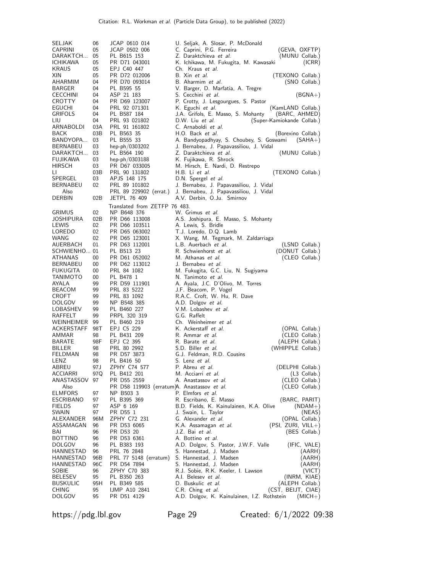| SELJAK                    | 06          | JCAP 0610 014                               | U. Seljak, A. Slosar, P. McDonald                                                      |                                   |
|---------------------------|-------------|---------------------------------------------|----------------------------------------------------------------------------------------|-----------------------------------|
| <b>CAPRINI</b>            | 05          | JCAP 0502 006                               | C. Caprini, P.G. Ferreira                                                              | (GEVA, OXFTP)                     |
| DARAKTCH                  | 05          | PL B615 153                                 | Z. Daraktchieva <i>et al.</i>                                                          | (MUNU Collab.)                    |
| <b>ICHIKAWA</b>           | 05          | PR D71 043001                               | K. Ichikawa, M. Fukugita, M. Kawasaki                                                  | (ICRR)                            |
| KRAUS                     | 05          | EPJ C40 447                                 | Ch. Kraus <i>et al.</i>                                                                |                                   |
| XIN                       | 05          | PR D72 012006                               | B. Xin et al.                                                                          | (TEXONO Collab.)                  |
| AHARMIM                   | 04          | PR D70 093014                               | B. Aharmim et al.                                                                      | (SNO Collab.)                     |
| BARGER<br><b>CECCHINI</b> | 04<br>04    | PL B595 55<br>ASP 21 183                    | V. Barger, D. Marfatia, A. Tregre                                                      |                                   |
| CROTTY                    | 04          | PR D69 123007                               | S. Cecchini <i>et al.</i><br>P. Crotty, J. Lesgourgues, S. Pastor                      | (BGNA+)                           |
| EGUCHI                    | 04          | PRL 92 071301                               | K. Eguchi <i>et al.</i>                                                                | (KamLAND Collab.)                 |
| <b>GRIFOLS</b>            | 04          | PL B587 184                                 | J.A. Grifols, E. Masso, S. Mohanty                                                     | (BARC, AHMED)                     |
| LIU                       | 04          | PRL 93 021802                               | D.W. Liu et al.<br>(Super-Kamiokande Collab.)                                          |                                   |
| ARNABOLDI                 | 03A         | PRL 91 161802                               | C. Arnaboldi et al.                                                                    |                                   |
| BACK                      | 03B         | PL B563 35                                  | H.O. Back et al.                                                                       | (Borexino Collab.)                |
| BANDYOPA                  | 03          | PL B555 33                                  | A. Bandyopadhyay, S. Choubey, S. Goswami                                               | $(SAHA+)$                         |
| BERNABEU                  | 03          | hep-ph/0303202                              | J. Bernabeu, J. Papavassiliou, J. Vidal                                                |                                   |
| DARAKTCH                  | 03          | PL B564 190                                 | Z. Daraktchieva <i>et al.</i>                                                          | (MUNU Collab.)                    |
| FUJIKAWA<br>HIRSCH        | 03<br>03    | hep-ph/0303188<br>PR D67 033005             | K. Fujikawa, R. Shrock<br>M. Hirsch, E. Nardi, D. Restrepo                             |                                   |
| LI.                       | 03B         | PRL 90 131802                               | H.B. Li et al.                                                                         | (TEXONO Collab.)                  |
| SPERGEL                   | 03          | APJS 148 175                                | D.N. Spergel et al.                                                                    |                                   |
| BERNABEU                  | 02          | PRL 89 101802                               | J. Bernabeu, J. Papavassiliou, J. Vidal                                                |                                   |
| Also                      |             | PRL 89 229902 (errat.)                      | J. Bernabeu, J. Papavassiliou, J. Vidal                                                |                                   |
| DERBIN                    | 02B         | JETPL 76 409                                | A.V. Derbin, O.Ju. Smirnov                                                             |                                   |
|                           |             | Translated from ZETFP 76 483.               |                                                                                        |                                   |
| GRIMUS                    | 02          | NP B648 376                                 | W. Grimus et al.                                                                       |                                   |
| JOSHIPURA                 | 02B         | PR D66 113008                               | A.S. Joshipura, E. Masso, S. Mohanty                                                   |                                   |
| LEWIS                     | 02          | PR D66 103511                               | A. Lewis, S. Bridle                                                                    |                                   |
| LOREDO                    | 02          | PR D65 063002                               | T.J. Loredo, D.Q. Lamb                                                                 |                                   |
| WANG<br>AUERBACH          | 02<br>01    | PR D65 123001<br>PR D63 112001              | X. Wang, M. Tegmark, M. Zaldarriaga<br>L.B. Auerbach et al.                            |                                   |
| SCHWIENHO 01              |             | PL B513 23                                  | R. Schwienhorst et al.                                                                 | (LSND Collab.)<br>(DONUT Collab.) |
| ATHANAS                   | 00          | PR D61 052002                               | M. Athanas <i>et al.</i>                                                               | (CLEO Collab.)                    |
| BERNABEU                  | 00          | PR D62 113012                               | J. Bernabeu <i>et al.</i>                                                              |                                   |
| FUKUGITA                  | 00          | PRL 84 1082                                 | M. Fukugita, G.C. Liu, N. Sugiyama                                                     |                                   |
| TANIMOTO                  | 00          | PL B478 1                                   | N. Tanimoto et al.                                                                     |                                   |
| AYALA                     | 99          | PR D59 111901                               | A. Ayala, J.C. D'Olivo, M. Torres                                                      |                                   |
| BEACOM                    | 99          | PRL 83 5222                                 | J.F. Beacom, P. Vogel                                                                  |                                   |
| <b>CROFT</b>              | 99          | PRL 83 1092                                 | R.A.C. Croft, W. Hu, R. Dave                                                           |                                   |
| <b>DOLGOV</b><br>LOBASHEV | 99<br>99    | NP B548 385<br>PL B460 227                  | A.D. Dolgov et al.<br>V.M. Lobashev et al.                                             |                                   |
| RAFFELT                   | 99          | PRPL 320 319                                | G.G. Raffelt                                                                           |                                   |
| WEINHEIMER                | 99          | PL B460 219                                 | Ch. Weinheimer et al.                                                                  |                                   |
| ACKERSTAFF                | 98T         | EPJ C5 229                                  | K. Ackerstaff et al.                                                                   | (OPAL Collab.)                    |
| AMMAR                     | 98          | PL B431 209                                 | R. Ammar et al.                                                                        | (CLEO Collab.)                    |
| BARATE                    | 98F         | EPJ C2 395                                  | R. Barate <i>et al.</i>                                                                | (ALEPH Collab.)                   |
| BILLER                    | 98          | PRL 80 2992                                 | S.D. Biller et al.                                                                     | (WHIPPLE Collab.)                 |
| FELDMAN                   | 98          | PR D57 3873                                 | G.J. Feldman, R.D. Cousins                                                             |                                   |
| LENZ                      | 98          | PL B416 50                                  | S. Lenz <i>et al.</i>                                                                  |                                   |
| ABREU<br>ACCIARRI         | 97 J<br>97Q | ZPHY C74 577                                | P. Abreu et al.<br>M. Acciarri <i>et al.</i>                                           | (DELPHI Collab.)                  |
| ANASTASSOV                | 97          | PL B412 201<br>PR D55 2559                  | A. Anastassov et al.                                                                   | $(L3$ Collab.)<br>(CLEO Collab.)  |
| Also                      |             | PR D58 119903 (erratum)A. Anastassov et al. |                                                                                        | (CLEO Collab.)                    |
| <b>ELMFORS</b>            | 97          | NP B503 3                                   | P. Elmfors et al.                                                                      |                                   |
| ESCRIBANO                 | 97          | PL B395 369                                 | R. Escribano, E. Masso                                                                 | (BARC, PARIT)                     |
| <b>FIELDS</b>             | 97          | ASP 6 169                                   | B.D. Fields, K. Kainulainen, K.A. Olive                                                | $(NDAM+)$                         |
| SWAIN                     | 97          | PR D55 1                                    | J. Swain, L. Taylor                                                                    | (NEAS)                            |
| ALEXANDER                 | 96M         | ZPHY C72 231                                | G. Alexander <i>et al.</i>                                                             | (OPAL Collab.)                    |
| ASSAMAGAN<br>BAI          | 96<br>96    | PR D53 6065<br>PR D53 20                    | (PSI, ZURI, VILL+)<br>K.A. Assamagan et al.                                            | (BES Collab.)                     |
| BOTTINO                   | 96          | PR D53 6361                                 | J.Z. Bai et al.<br>A. Bottino et al.                                                   |                                   |
| DOLGOV                    | 96          | PL B383 193                                 | A.D. Dolgov, S. Pastor, J.W.F. Valle                                                   | (IFIC, VALE)                      |
| HANNESTAD                 | 96          | PRL 76 2848                                 | S. Hannestad, J. Madsen                                                                | (AARH)                            |
| HANNESTAD                 | 96B         | PRL 77 5148 (erratum)                       | S. Hannestad, J. Madsen                                                                | (AARH)                            |
| HANNESTAD                 | 96C         | PR D54 7894                                 | S. Hannestad, J. Madsen                                                                | (AARH)                            |
| SOBIE                     | 96          | ZPHY C70 383                                | R.J. Sobie, R.K. Keeler, I. Lawson                                                     | (VICT)                            |
| BELESEV                   | 95          | PL B350 263                                 | A.I. Belesev et al.                                                                    | (INRM, KIAE)                      |
| BUSKULIC                  | 95H         | PL B349 585                                 | D. Buskulic et al.                                                                     | (ALEPH Collab.)                   |
| CHING<br><b>DOLGOV</b>    | 95<br>95    | <b>IJMP A10 2841</b><br>PR D51 4129         | (CST, BEIJT, CIAE)<br>C.R. Ching et al.<br>A.D. Dolgov, K. Kainulainen, I.Z. Rothstein | $(MICH+)$                         |
|                           |             |                                             |                                                                                        |                                   |

https://pdg.lbl.gov Page 29 Created: 6/1/2022 09:38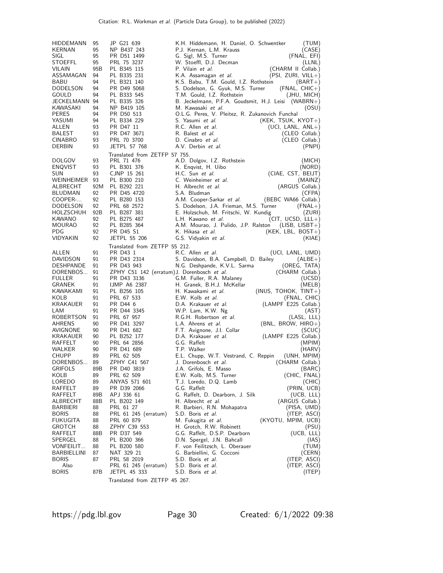| HIDDEMANN<br>KERNAN<br>SIGL<br>STOEFFL<br>VILAIN<br>ASSAMAGAN<br>BABU<br>DODELSON<br>GOULD<br>JECKELMANN 94<br>KAWASAKI<br><b>PERES</b><br>YASUMI<br>ALLEN<br>BALEST<br>CINABRO<br>DERBIN                                                                                                                                                   | 95<br>95<br>95<br>95<br>95B<br>94<br>94<br>94<br>94<br>94<br>94<br>94<br>93<br>93<br>93<br>93                                                                           | JP G21 639<br>NP B437 243<br>PR D51 1499<br>PRL 75 3237<br>PL B345 115<br>PL B335 231<br>PL B321 140<br>PR D49 5068<br>PL B333 545<br>PL B335 326<br>NP B419 105<br>PR D50 513<br>PL B334 229<br>PR D47 11<br>PR D47 3671<br>PRL 70 3700<br><b>JETPL 57 768</b>                                                                                                                                                                                                                                       | K.H. Hiddemann, H. Daniel, O. Schwentker<br>(TUM)<br>P.J. Kernan, L.M. Krauss<br>(CASE)<br>G. Sigl, M.S. Turner<br>(FNAL, EFI)<br>W. Stoeffl, D.J. Decman<br>(LLNL)<br>(CHARM II Collab.)<br>P. Vilain et al.<br>(PSI, ZURI, VILL+)<br>K.A. Assamagan et al.<br>K.S. Babu, T.M. Gould, I.Z. Rothstein<br>$(BART+)$<br>S. Dodelson, G. Gyuk, M.S. Turner<br>$(FNAL, CHIC+)$<br>T.M. Gould, I.Z. Rothstein<br>(JHU, MICH)<br>B. Jeckelmann, P.F.A. Goudsmit, H.J. Leisi (WABRN+)<br>M. Kawasaki et al.<br>(OSU)<br>O.L.G. Peres, V. Pleitez, R. Zukanovich Funchal<br>S. Yasumi et al.<br>$(KEK, TSUK, KYOT+)$<br>R.C. Allen et al.<br>$(UCI, LANL, ANL+)$<br>R. Balest et al.<br>(CLEO Collab.)<br>D. Cinabro et al.<br>(CLEO Collab.)<br>A.V. Derbin et al.<br>(PNPI)                                                                                                                                                                                                                                                                                                                                                                                             |
|---------------------------------------------------------------------------------------------------------------------------------------------------------------------------------------------------------------------------------------------------------------------------------------------------------------------------------------------|-------------------------------------------------------------------------------------------------------------------------------------------------------------------------|-------------------------------------------------------------------------------------------------------------------------------------------------------------------------------------------------------------------------------------------------------------------------------------------------------------------------------------------------------------------------------------------------------------------------------------------------------------------------------------------------------|-------------------------------------------------------------------------------------------------------------------------------------------------------------------------------------------------------------------------------------------------------------------------------------------------------------------------------------------------------------------------------------------------------------------------------------------------------------------------------------------------------------------------------------------------------------------------------------------------------------------------------------------------------------------------------------------------------------------------------------------------------------------------------------------------------------------------------------------------------------------------------------------------------------------------------------------------------------------------------------------------------------------------------------------------------------------------------------------------------------------------------------------------------------------|
|                                                                                                                                                                                                                                                                                                                                             |                                                                                                                                                                         | Translated from ZETFP 57 755.                                                                                                                                                                                                                                                                                                                                                                                                                                                                         |                                                                                                                                                                                                                                                                                                                                                                                                                                                                                                                                                                                                                                                                                                                                                                                                                                                                                                                                                                                                                                                                                                                                                                   |
| <b>DOLGOV</b><br><b>ENQVIST</b><br>SUN<br>WEINHEIMER 93<br>ALBRECHT<br>BLUDMAN<br>COOPER-<br><b>DODELSON</b><br>HOLZSCHUH<br>KAWANO<br>MOURAO                                                                                                                                                                                               | 93<br>93<br>93<br>92M<br>92<br>92<br>92<br>92B<br>92<br>92                                                                                                              | PRL 71 476<br>PL B301 376<br>CJNP 15 261<br>PL B300 210<br>PL B292 221<br>PR D45 4720<br>PL B280 153<br>PRL 68 2572<br>PL B287 381<br>PL B275 487<br>PL B285 364                                                                                                                                                                                                                                                                                                                                      | A.D. Dolgov, I.Z. Rothstein<br>(MICH)<br>K. Enqvist, H. Uibo<br>(NORD)<br>(CIAE, CST, BEIJT)<br>H.C. Sun et al.<br>C. Weinheimer et al.<br>(MAINZ)<br>(ARGUS Collab.)<br>H. Albrecht et al.<br>S.A. Bludman<br>(CFPA)<br>A.M. Cooper-Sarkar et al.<br>(BEBC WA66 Collab.)<br>S. Dodelson, J.A. Frieman, M.S. Turner<br>$(FNAL+)$<br>E. Holzschuh, M. Fritschi, W. Kundig<br>(ZURI)<br>L.H. Kawano et al.<br>$(CIT, UCSD, LLL+)$<br>A.M. Mourao, J. Pulido, J.P. Ralston<br>$(LISE, LISET+)$                                                                                                                                                                                                                                                                                                                                                                                                                                                                                                                                                                                                                                                                       |
| PDG                                                                                                                                                                                                                                                                                                                                         | 92                                                                                                                                                                      | <b>PR D45 S1</b>                                                                                                                                                                                                                                                                                                                                                                                                                                                                                      | $(KEK, LBL, BOST+)$<br>K. Hikasa et al.                                                                                                                                                                                                                                                                                                                                                                                                                                                                                                                                                                                                                                                                                                                                                                                                                                                                                                                                                                                                                                                                                                                           |
| VIDYAKIN                                                                                                                                                                                                                                                                                                                                    | 92                                                                                                                                                                      | <b>JETPL 55 206</b>                                                                                                                                                                                                                                                                                                                                                                                                                                                                                   | G.S. Vidyakin et al.<br>(KIAE)                                                                                                                                                                                                                                                                                                                                                                                                                                                                                                                                                                                                                                                                                                                                                                                                                                                                                                                                                                                                                                                                                                                                    |
| ALLEN<br>DAVIDSON<br>DESHPANDE<br>DORENBOS<br><b>FULLER</b><br>GRANEK<br>KAWAKAMI<br>KOLB<br>KRAKAUER<br>LAM<br>ROBERTSON<br><b>AHRENS</b><br>AVIGNONE<br>KRAKAUER<br>RAFFELT<br>WALKER<br>CHUPP<br>DORENBOS<br>GRIFOLS<br>KOLB<br>LOREDO<br>RAFFELT<br>RAFFELT<br>ALBRECHT<br>BARBIERI<br><b>BORIS</b><br><b>FUKUGITA</b><br><b>GROTCH</b> | 91<br>91<br>91<br>91<br>91<br>91<br>91<br>91<br>91<br>91<br>91<br>90<br>90<br>90<br>90<br>90<br>89<br>89<br>89B<br>89<br>89<br>89<br>89B<br>88B<br>88<br>88<br>88<br>88 | Translated from ZETFP 55 212.<br>PR D43 1<br>PR D43 2314<br>PR D43 943<br>ZPHY C51 142 (erratum) J. Dorenbosch et al.<br>PR D43 3136<br><b>IJMP A6 2387</b><br>PL B256 105<br>PRL 67 533<br>PR D44 6<br>PR D44 3345<br>PRL 67 957<br>PR D41 3297<br>PR D41 682<br>PL B252 177<br>PRL 64 2856<br>PR D41 689<br>PRL 62 505<br>ZPHY C41 567<br>PR D40 3819<br>PRL 62 509<br>ANYAS 571 601<br>PR D39 2066<br>APJ 336 61<br>PL B202 149<br>PRL 61 27<br>PRL 61 245 (erratum)<br>PRL 60 879<br>ZPHY C39 553 | R.C. Allen et al.<br>(UCI, LANL, UMD)<br>S. Davidson, B.A. Campbell, D. Bailey<br>$(ALBE+)$<br>N.G. Deshpande, K.V.L. Sarma<br>(OREG, TATA)<br>(CHARM Collab.)<br>G.M. Fuller, R.A. Malaney<br>(UCSD)<br>H. Granek, B.H.J. McKellar<br>(MELB)<br>H. Kawakami et al.<br>$(INUS, TOHOK, TINT+)$<br>E.W. Kolb et al.<br>(FNAL, CHIC)<br>D.A. Krakauer et al.<br>(LAMPF E225 Collab.)<br>W.P. Lam, K.W. Ng<br>(AST)<br>R.G.H. Robertson et al.<br>(LASL, LLL)<br>L.A. Ahrens et al.<br>$(BNL, BROW, HIRO+)$<br>F.T. Avignone, J.I. Collar<br>(SCUC)<br>(LAMPF E225 Collab.)<br>D.A. Krakauer et al.<br>G.G. Raffelt<br>(MPIM)<br>T.P. Walker<br>(HARV)<br>E.L. Chupp, W.T. Vestrand, C. Reppin<br>(UNH, MPIM)<br>J. Dorenbosch et al. (CHARM Collab.)<br>J.A. Grifols, E. Masso<br>(BARC)<br>(CHIC, FNAL)<br>E.W. Kolb, M.S. Turner<br>T.J. Loredo, D.Q. Lamb<br>(CHIC)<br>(PRIN, UCB)<br>G.G. Raffelt<br>G. Raffelt, D. Dearborn, J. Silk<br>(UCB, LLL)<br>(ARGUS Collab.)<br>H. Albrecht et al.<br>R. Barbieri, R.N. Mohapatra<br>(PISA, UMD)<br>S.D. Boris et al.<br>(ITEP, ASCI)<br>M. Fukugita et al.<br>(KYOTU, MPIM, UCB)<br>H. Grotch, R.W. Robinett<br>(PSU) |
| RAFFELT<br>SPERGEL                                                                                                                                                                                                                                                                                                                          | 88B<br>88                                                                                                                                                               | PR D37 549<br>PL B200 366                                                                                                                                                                                                                                                                                                                                                                                                                                                                             | (UCB, LLL)<br>G.G. Raffelt, D.S.P. Dearborn<br>D.N. Spergel, J.N. Bahcall<br>(IAS)                                                                                                                                                                                                                                                                                                                                                                                                                                                                                                                                                                                                                                                                                                                                                                                                                                                                                                                                                                                                                                                                                |
| VONFEILIT                                                                                                                                                                                                                                                                                                                                   | 88                                                                                                                                                                      | PL B200 580                                                                                                                                                                                                                                                                                                                                                                                                                                                                                           | F. von Feilitzsch, L. Oberauer<br>(TUM)                                                                                                                                                                                                                                                                                                                                                                                                                                                                                                                                                                                                                                                                                                                                                                                                                                                                                                                                                                                                                                                                                                                           |
| BARBIELLINI                                                                                                                                                                                                                                                                                                                                 | 87                                                                                                                                                                      | NAT 329 21                                                                                                                                                                                                                                                                                                                                                                                                                                                                                            | G. Barbiellini, G. Cocconi<br>(CERN)                                                                                                                                                                                                                                                                                                                                                                                                                                                                                                                                                                                                                                                                                                                                                                                                                                                                                                                                                                                                                                                                                                                              |
| <b>BORIS</b>                                                                                                                                                                                                                                                                                                                                | 87                                                                                                                                                                      | PRL 58 2019                                                                                                                                                                                                                                                                                                                                                                                                                                                                                           | (ITEP, ASCI)<br>S.D. Boris et al.                                                                                                                                                                                                                                                                                                                                                                                                                                                                                                                                                                                                                                                                                                                                                                                                                                                                                                                                                                                                                                                                                                                                 |
| Also<br>Boris                                                                                                                                                                                                                                                                                                                               | 87B                                                                                                                                                                     | PRL 61 245 (erratum)<br><b>JETPL 45 333</b>                                                                                                                                                                                                                                                                                                                                                                                                                                                           | (ITEP, ASCI)<br>S.D. Boris et al.<br>S.D. Boris et al.<br>(ITEP)                                                                                                                                                                                                                                                                                                                                                                                                                                                                                                                                                                                                                                                                                                                                                                                                                                                                                                                                                                                                                                                                                                  |
|                                                                                                                                                                                                                                                                                                                                             |                                                                                                                                                                         | Translated from ZETFP 45 267.                                                                                                                                                                                                                                                                                                                                                                                                                                                                         |                                                                                                                                                                                                                                                                                                                                                                                                                                                                                                                                                                                                                                                                                                                                                                                                                                                                                                                                                                                                                                                                                                                                                                   |